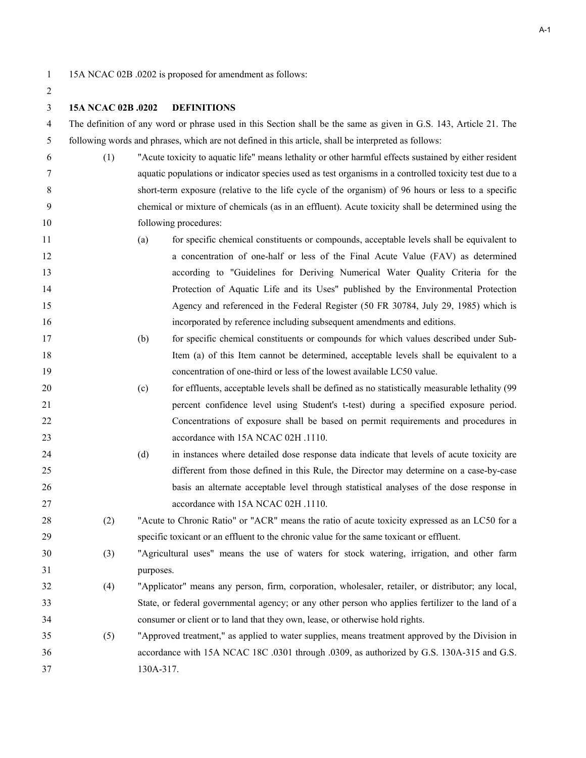1 15A NCAC 02B .0202 is proposed for amendment as follows:

A-1

### **15A NCAC 02B .0202 DEFINITIONS**

4 The definition of any word or phrase used in this Section shall be the same as given in G.S. 143, Article 21. The 5 following words and phrases, which are not defined in this article, shall be interpreted as follows:

- 6 (1) "Acute toxicity to aquatic life" means lethality or other harmful effects sustained by either resident 7 aquatic populations or indicator species used as test organisms in a controlled toxicity test due to a 8 short-term exposure (relative to the life cycle of the organism) of 96 hours or less to a specific 9 chemical or mixture of chemicals (as in an effluent). Acute toxicity shall be determined using the 10 following procedures:
- (a) for specific chemical constituents or compounds, acceptable levels shall be equivalent to a concentration of one-half or less of the Final Acute Value (FAV) as determined according to "Guidelines for Deriving Numerical Water Quality Criteria for the Protection of Aquatic Life and its Uses" published by the Environmental Protection Agency and referenced in the Federal Register (50 FR 30784, July 29, 1985) which is incorporated by reference including subsequent amendments and editions.
- (b) for specific chemical constituents or compounds for which values described under Sub- Item (a) of this Item cannot be determined, acceptable levels shall be equivalent to a concentration of one-third or less of the lowest available LC50 value.
- (c) for effluents, acceptable levels shall be defined as no statistically measurable lethality (99 percent confidence level using Student's t-test) during a specified exposure period. Concentrations of exposure shall be based on permit requirements and procedures in **accordance with 15A NCAC 02H .1110.**
- (d) in instances where detailed dose response data indicate that levels of acute toxicity are different from those defined in this Rule, the Director may determine on a case-by-case basis an alternate acceptable level through statistical analyses of the dose response in 27 accordance with 15A NCAC 02H .1110.
- (2) "Acute to Chronic Ratio" or "ACR" means the ratio of acute toxicity expressed as an LC50 for a specific toxicant or an effluent to the chronic value for the same toxicant or effluent.
- (3) "Agricultural uses" means the use of waters for stock watering, irrigation, and other farm purposes.
- (4) "Applicator" means any person, firm, corporation, wholesaler, retailer, or distributor; any local, State, or federal governmental agency; or any other person who applies fertilizer to the land of a consumer or client or to land that they own, lease, or otherwise hold rights.
- (5) "Approved treatment," as applied to water supplies, means treatment approved by the Division in accordance with 15A NCAC 18C .0301 through .0309, as authorized by G.S. 130A-315 and G.S. 130A-317.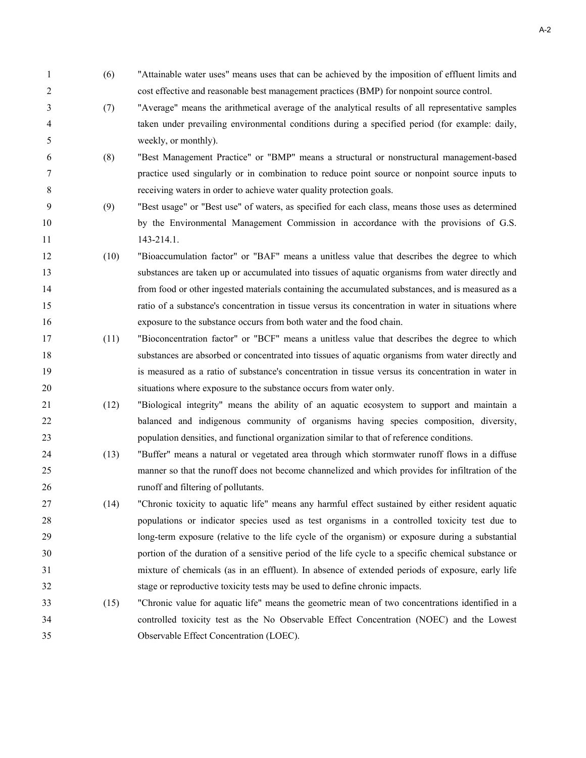1 (6) "Attainable water uses" means uses that can be achieved by the imposition of effluent limits and 2 cost effective and reasonable best management practices (BMP) for nonpoint source control. 3 (7) "Average" means the arithmetical average of the analytical results of all representative samples 4 taken under prevailing environmental conditions during a specified period (for example: daily, 5 weekly, or monthly). 6 (8) "Best Management Practice" or "BMP" means a structural or nonstructural management-based 7 practice used singularly or in combination to reduce point source or nonpoint source inputs to 8 receiving waters in order to achieve water quality protection goals. 9 (9) "Best usage" or "Best use" of waters, as specified for each class, means those uses as determined by the Environmental Management Commission in accordance with the provisions of G.S. 11 143-214.1. (10) "Bioaccumulation factor" or "BAF" means a unitless value that describes the degree to which substances are taken up or accumulated into tissues of aquatic organisms from water directly and from food or other ingested materials containing the accumulated substances, and is measured as a ratio of a substance's concentration in tissue versus its concentration in water in situations where exposure to the substance occurs from both water and the food chain. (11) "Bioconcentration factor" or "BCF" means a unitless value that describes the degree to which substances are absorbed or concentrated into tissues of aquatic organisms from water directly and is measured as a ratio of substance's concentration in tissue versus its concentration in water in situations where exposure to the substance occurs from water only. (12) "Biological integrity" means the ability of an aquatic ecosystem to support and maintain a balanced and indigenous community of organisms having species composition, diversity, population densities, and functional organization similar to that of reference conditions. (13) "Buffer" means a natural or vegetated area through which stormwater runoff flows in a diffuse manner so that the runoff does not become channelized and which provides for infiltration of the runoff and filtering of pollutants. (14) "Chronic toxicity to aquatic life" means any harmful effect sustained by either resident aquatic populations or indicator species used as test organisms in a controlled toxicity test due to long-term exposure (relative to the life cycle of the organism) or exposure during a substantial portion of the duration of a sensitive period of the life cycle to a specific chemical substance or mixture of chemicals (as in an effluent). In absence of extended periods of exposure, early life stage or reproductive toxicity tests may be used to define chronic impacts. (15) "Chronic value for aquatic life" means the geometric mean of two concentrations identified in a controlled toxicity test as the No Observable Effect Concentration (NOEC) and the Lowest Observable Effect Concentration (LOEC).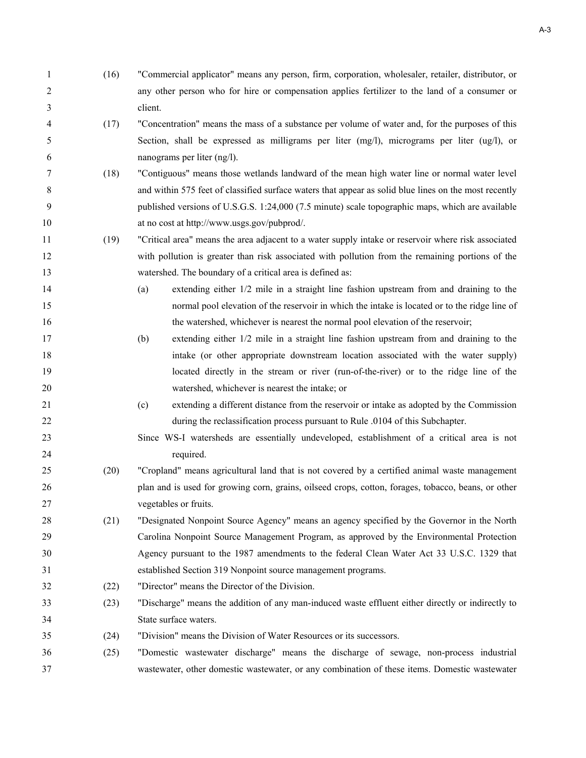| 1  | (16) | "Commercial applicator" means any person, firm, corporation, wholesaler, retailer, distributor, or    |
|----|------|-------------------------------------------------------------------------------------------------------|
| 2  |      | any other person who for hire or compensation applies fertilizer to the land of a consumer or         |
| 3  |      | client.                                                                                               |
| 4  | (17) | "Concentration" means the mass of a substance per volume of water and, for the purposes of this       |
| 5  |      | Section, shall be expressed as milligrams per liter (mg/l), micrograms per liter (ug/l), or           |
| 6  |      | nanograms per liter (ng/l).                                                                           |
| 7  | (18) | "Contiguous" means those wetlands landward of the mean high water line or normal water level          |
| 8  |      | and within 575 feet of classified surface waters that appear as solid blue lines on the most recently |
| 9  |      | published versions of U.S.G.S. 1:24,000 (7.5 minute) scale topographic maps, which are available      |
| 10 |      | at no cost at http://www.usgs.gov/pubprod/.                                                           |
| 11 | (19) | "Critical area" means the area adjacent to a water supply intake or reservoir where risk associated   |
| 12 |      | with pollution is greater than risk associated with pollution from the remaining portions of the      |
| 13 |      | watershed. The boundary of a critical area is defined as:                                             |
| 14 |      | extending either $1/2$ mile in a straight line fashion upstream from and draining to the<br>(a)       |
| 15 |      | normal pool elevation of the reservoir in which the intake is located or to the ridge line of         |
| 16 |      | the watershed, whichever is nearest the normal pool elevation of the reservoir;                       |
| 17 |      | extending either 1/2 mile in a straight line fashion upstream from and draining to the<br>(b)         |
| 18 |      | intake (or other appropriate downstream location associated with the water supply)                    |
| 19 |      | located directly in the stream or river (run-of-the-river) or to the ridge line of the                |
| 20 |      | watershed, whichever is nearest the intake; or                                                        |
| 21 |      | extending a different distance from the reservoir or intake as adopted by the Commission<br>(c)       |
| 22 |      | during the reclassification process pursuant to Rule .0104 of this Subchapter.                        |
| 23 |      | Since WS-I watersheds are essentially undeveloped, establishment of a critical area is not            |
| 24 |      | required.                                                                                             |
| 25 | (20) | "Cropland" means agricultural land that is not covered by a certified animal waste management         |
| 26 |      | plan and is used for growing corn, grains, oilseed crops, cotton, forages, tobacco, beans, or other   |
| 27 |      | vegetables or fruits.                                                                                 |
| 28 | (21) | "Designated Nonpoint Source Agency" means an agency specified by the Governor in the North            |
| 29 |      | Carolina Nonpoint Source Management Program, as approved by the Environmental Protection              |
| 30 |      | Agency pursuant to the 1987 amendments to the federal Clean Water Act 33 U.S.C. 1329 that             |
| 31 |      | established Section 319 Nonpoint source management programs.                                          |
| 32 | (22) | "Director" means the Director of the Division.                                                        |
| 33 | (23) | "Discharge" means the addition of any man-induced waste effluent either directly or indirectly to     |
| 34 |      | State surface waters.                                                                                 |
| 35 | (24) | "Division" means the Division of Water Resources or its successors.                                   |
| 36 | (25) | "Domestic wastewater discharge" means the discharge of sewage, non-process industrial                 |
| 37 |      | wastewater, other domestic wastewater, or any combination of these items. Domestic wastewater         |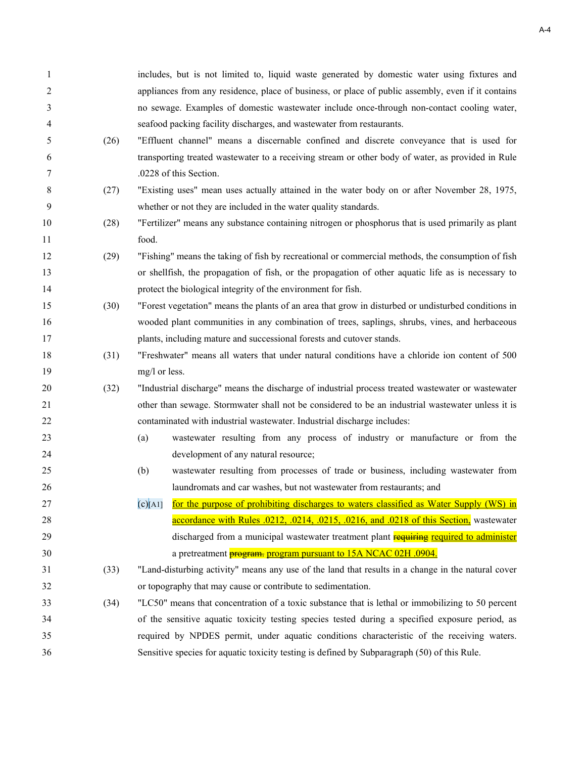| 1  |      | includes, but is not limited to, liquid waste generated by domestic water using fixtures and        |
|----|------|-----------------------------------------------------------------------------------------------------|
| 2  |      | appliances from any residence, place of business, or place of public assembly, even if it contains  |
| 3  |      | no sewage. Examples of domestic wastewater include once-through non-contact cooling water,          |
| 4  |      | seafood packing facility discharges, and wastewater from restaurants.                               |
| 5  | (26) | "Effluent channel" means a discernable confined and discrete conveyance that is used for            |
| 6  |      | transporting treated wastewater to a receiving stream or other body of water, as provided in Rule   |
| 7  |      | .0228 of this Section.                                                                              |
| 8  | (27) | "Existing uses" mean uses actually attained in the water body on or after November 28, 1975,        |
| 9  |      | whether or not they are included in the water quality standards.                                    |
| 10 | (28) | "Fertilizer" means any substance containing nitrogen or phosphorus that is used primarily as plant  |
| 11 |      | food.                                                                                               |
| 12 | (29) | "Fishing" means the taking of fish by recreational or commercial methods, the consumption of fish   |
| 13 |      | or shellfish, the propagation of fish, or the propagation of other aquatic life as is necessary to  |
| 14 |      | protect the biological integrity of the environment for fish.                                       |
| 15 | (30) | "Forest vegetation" means the plants of an area that grow in disturbed or undisturbed conditions in |
| 16 |      | wooded plant communities in any combination of trees, saplings, shrubs, vines, and herbaceous       |
| 17 |      | plants, including mature and successional forests and cutover stands.                               |
| 18 | (31) | "Freshwater" means all waters that under natural conditions have a chloride ion content of 500      |
| 19 |      | mg/l or less.                                                                                       |
| 20 | (32) | "Industrial discharge" means the discharge of industrial process treated wastewater or wastewater   |
| 21 |      | other than sewage. Stormwater shall not be considered to be an industrial wastewater unless it is   |
| 22 |      | contaminated with industrial wastewater. Industrial discharge includes:                             |
| 23 |      | wastewater resulting from any process of industry or manufacture or from the<br>(a)                 |
| 24 |      | development of any natural resource;                                                                |
| 25 |      | wastewater resulting from processes of trade or business, including wastewater from<br>(b)          |
| 26 |      | laundromats and car washes, but not wastewater from restaurants; and                                |
| 27 |      | for the purpose of prohibiting discharges to waters classified as Water Supply (WS) in<br>(c)[A1]   |
| 28 |      | accordance with Rules .0212, .0214, .0215, .0216, and .0218 of this Section, wastewater             |
| 29 |      | discharged from a municipal wastewater treatment plant requiring required to administer             |
| 30 |      | a pretreatment <b>program.</b> program pursuant to 15A NCAC 02H .0904.                              |
| 31 | (33) | "Land-disturbing activity" means any use of the land that results in a change in the natural cover  |
| 32 |      | or topography that may cause or contribute to sedimentation.                                        |
| 33 | (34) | "LC50" means that concentration of a toxic substance that is lethal or immobilizing to 50 percent   |
| 34 |      | of the sensitive aquatic toxicity testing species tested during a specified exposure period, as     |
| 35 |      | required by NPDES permit, under aquatic conditions characteristic of the receiving waters.          |
| 36 |      | Sensitive species for aquatic toxicity testing is defined by Subparagraph (50) of this Rule.        |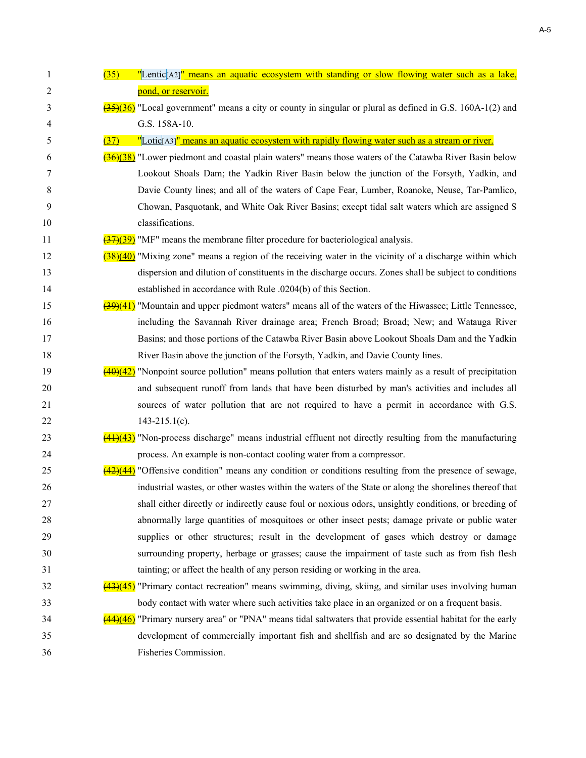| 1  | "Lentic[A2]" means an aquatic ecosystem with standing or slow flowing water such as a lake,<br>(35)                             |
|----|---------------------------------------------------------------------------------------------------------------------------------|
| 2  | pond, or reservoir.                                                                                                             |
| 3  | $\frac{(35)(36)}{2}$ "Local government" means a city or county in singular or plural as defined in G.S. 160A-1(2) and           |
| 4  | G.S. 158A-10.                                                                                                                   |
| 5  | "Lotic <sup>[A3]</sup> " means an aquatic ecosystem with rapidly flowing water such as a stream or river.<br>(37)               |
| 6  | (38) "Lower piedmont and coastal plain waters" means those waters of the Catawba River Basin below                              |
| 7  | Lookout Shoals Dam; the Yadkin River Basin below the junction of the Forsyth, Yadkin, and                                       |
| 8  | Davie County lines; and all of the waters of Cape Fear, Lumber, Roanoke, Neuse, Tar-Pamlico,                                    |
| 9  | Chowan, Pasquotank, and White Oak River Basins; except tidal salt waters which are assigned S                                   |
| 10 | classifications.                                                                                                                |
| 11 | $\frac{(37)(39)}{(17)(39)}$ "MF" means the membrane filter procedure for bacteriological analysis.                              |
| 12 | $\left(\frac{38}{40}\right)$ "Mixing zone" means a region of the receiving water in the vicinity of a discharge within which    |
| 13 | dispersion and dilution of constituents in the discharge occurs. Zones shall be subject to conditions                           |
| 14 | established in accordance with Rule .0204(b) of this Section.                                                                   |
| 15 | $\left(\frac{39)(41}{2}\right)$ "Mountain and upper piedmont waters" means all of the waters of the Hiwassee; Little Tennessee, |
| 16 | including the Savannah River drainage area; French Broad; Broad; New; and Watauga River                                         |
| 17 | Basins; and those portions of the Catawba River Basin above Lookout Shoals Dam and the Yadkin                                   |
| 18 | River Basin above the junction of the Forsyth, Yadkin, and Davie County lines.                                                  |
| 19 | $(40)(42)$ "Nonpoint source pollution" means pollution that enters waters mainly as a result of precipitation                   |
| 20 | and subsequent runoff from lands that have been disturbed by man's activities and includes all                                  |
| 21 | sources of water pollution that are not required to have a permit in accordance with G.S.                                       |
| 22 | $143 - 215.1(c)$ .                                                                                                              |
| 23 | $(41)(43)$ "Non-process discharge" means industrial effluent not directly resulting from the manufacturing                      |
| 24 | process. An example is non-contact cooling water from a compressor.                                                             |
| 25 | $\frac{(42)(44)}{ }$ "Offensive condition" means any condition or conditions resulting from the presence of sewage,             |
| 26 | industrial wastes, or other wastes within the waters of the State or along the shorelines thereof that                          |
| 27 | shall either directly or indirectly cause foul or noxious odors, unsightly conditions, or breeding of                           |
| 28 | abnormally large quantities of mosquitoes or other insect pests; damage private or public water                                 |
| 29 | supplies or other structures; result in the development of gases which destroy or damage                                        |
| 30 | surrounding property, herbage or grasses; cause the impairment of taste such as from fish flesh                                 |
| 31 | tainting; or affect the health of any person residing or working in the area.                                                   |
| 32 | $(43)(45)$ "Primary contact recreation" means swimming, diving, skiing, and similar uses involving human                        |
| 33 | body contact with water where such activities take place in an organized or on a frequent basis.                                |
| 34 | $(44)(46)$ "Primary nursery area" or "PNA" means tidal saltwaters that provide essential habitat for the early                  |
| 35 | development of commercially important fish and shellfish and are so designated by the Marine                                    |
| 36 | Fisheries Commission.                                                                                                           |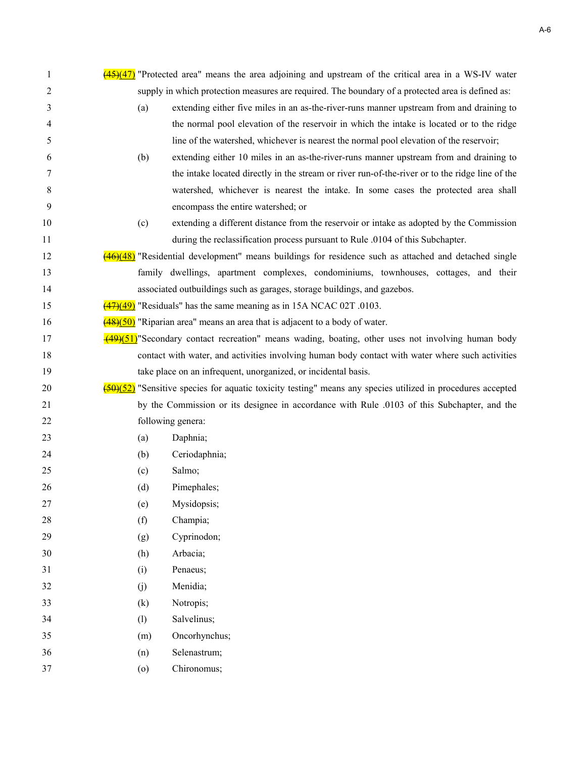| 1  |     | $\frac{(45)(47)}{2}$ "Protected area" means the area adjoining and upstream of the critical area in a WS-IV water                             |
|----|-----|-----------------------------------------------------------------------------------------------------------------------------------------------|
| 2  |     | supply in which protection measures are required. The boundary of a protected area is defined as:                                             |
| 3  | (a) | extending either five miles in an as-the-river-runs manner upstream from and draining to                                                      |
| 4  |     | the normal pool elevation of the reservoir in which the intake is located or to the ridge                                                     |
| 5  |     | line of the watershed, whichever is nearest the normal pool elevation of the reservoir;                                                       |
| 6  | (b) | extending either 10 miles in an as-the-river-runs manner upstream from and draining to                                                        |
| 7  |     | the intake located directly in the stream or river run-of-the-river or to the ridge line of the                                               |
| 8  |     | watershed, whichever is nearest the intake. In some cases the protected area shall                                                            |
| 9  |     | encompass the entire watershed; or                                                                                                            |
| 10 | (c) | extending a different distance from the reservoir or intake as adopted by the Commission                                                      |
| 11 |     | during the reclassification process pursuant to Rule .0104 of this Subchapter.                                                                |
| 12 |     | $(46)(48)$ "Residential development" means buildings for residence such as attached and detached single                                       |
| 13 |     | family dwellings, apartment complexes, condominiums, townhouses, cottages, and their                                                          |
| 14 |     | associated outbuildings such as garages, storage buildings, and gazebos.                                                                      |
| 15 |     | $\frac{(47)(49)}{(47)(49)}$ "Residuals" has the same meaning as in 15A NCAC 02T .0103.                                                        |
| 16 |     | $\frac{(48)(50)}{2}$ "Riparian area" means an area that is adjacent to a body of water.                                                       |
| 17 |     | $\frac{(49)(51)}{2}$ Secondary contact recreation" means wading, boating, other uses not involving human body                                 |
| 18 |     | contact with water, and activities involving human body contact with water where such activities                                              |
| 19 |     | take place on an infrequent, unorganized, or incidental basis.                                                                                |
| 20 |     | $\frac{\left(50\right)\left(52\right)}{2}$ "Sensitive species for aquatic toxicity testing" means any species utilized in procedures accepted |
| 21 |     | by the Commission or its designee in accordance with Rule .0103 of this Subchapter, and the                                                   |
| 22 |     | following genera:                                                                                                                             |
| 23 | (a) | Daphnia;                                                                                                                                      |
| 24 | (b) | Ceriodaphnia;                                                                                                                                 |
| 25 | (c) | Salmo;                                                                                                                                        |
| 26 | (d) | Pimephales;                                                                                                                                   |
| 27 | (e) | Mysidopsis;                                                                                                                                   |
| 28 | (f) | Champia;                                                                                                                                      |
| 29 | (g) | Cyprinodon;                                                                                                                                   |
| 30 | (h) | Arbacia;                                                                                                                                      |
| 31 | (i) | Penaeus;                                                                                                                                      |
| 32 | (j) | Menidia;                                                                                                                                      |
| 33 | (k) | Notropis;                                                                                                                                     |
| 34 | (1) | Salvelinus;                                                                                                                                   |
| 35 | (m) | Oncorhynchus;                                                                                                                                 |
| 36 | (n) | Selenastrum;                                                                                                                                  |
| 37 | (0) | Chironomus;                                                                                                                                   |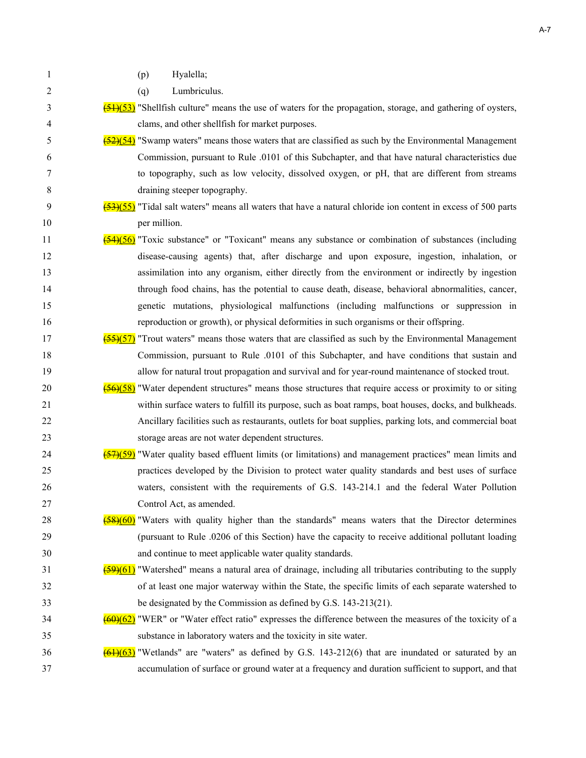- 1 (p) Hyalella;
- 2 (q) Lumbriculus.
- $\frac{(51)(53)}{2}$  "Shellfish culture" means the use of waters for the propagation, storage, and gathering of oysters, 4 clams, and other shellfish for market purposes.
- $\frac{(52)(54)}{2}$  "Swamp waters" means those waters that are classified as such by the Environmental Management 6 Commission, pursuant to Rule .0101 of this Subchapter, and that have natural characteristics due 7 to topography, such as low velocity, dissolved oxygen, or pH, that are different from streams 8 draining steeper topography.

# $\frac{(53)(55)}{20}$  "Tidal salt waters" means all waters that have a natural chloride ion content in excess of 500 parts 10 per million.

- 11 (54)(56) "Toxic substance" or "Toxicant" means any substance or combination of substances (including 12 disease-causing agents) that, after discharge and upon exposure, ingestion, inhalation, or 13 assimilation into any organism, either directly from the environment or indirectly by ingestion 14 through food chains, has the potential to cause death, disease, behavioral abnormalities, cancer, 15 genetic mutations, physiological malfunctions (including malfunctions or suppression in 16 reproduction or growth), or physical deformities in such organisms or their offspring.
- 17  $(55)(57)$  "Trout waters" means those waters that are classified as such by the Environmental Management 18 Commission, pursuant to Rule .0101 of this Subchapter, and have conditions that sustain and 19 allow for natural trout propagation and survival and for year-round maintenance of stocked trout.
- 20 (56)(58) "Water dependent structures" means those structures that require access or proximity to or siting 21 within surface waters to fulfill its purpose, such as boat ramps, boat houses, docks, and bulkheads. 22 Ancillary facilities such as restaurants, outlets for boat supplies, parking lots, and commercial boat 23 storage areas are not water dependent structures.
- 24  $\left( \frac{(57)(59)}{24} \right)$  "Water quality based effluent limits (or limitations) and management practices" mean limits and 25 practices developed by the Division to protect water quality standards and best uses of surface 26 waters, consistent with the requirements of G.S. 143-214.1 and the federal Water Pollution 27 Control Act, as amended.
- 28 (58)(60) "Waters with quality higher than the standards" means waters that the Director determines 29 (pursuant to Rule .0206 of this Section) have the capacity to receive additional pollutant loading 30 and continue to meet applicable water quality standards.
- $\frac{59}{61}$  "Watershed" means a natural area of drainage, including all tributaries contributing to the supply 32 of at least one major waterway within the State, the specific limits of each separate watershed to 33 be designated by the Commission as defined by G.S. 143-213(21).
- $34$  (60)(62) "WER" or "Water effect ratio" expresses the difference between the measures of the toxicity of a 35 substance in laboratory waters and the toxicity in site water.
- $\frac{(61)(63)}{100}$  "Wetlands" are "waters" as defined by G.S. 143-212(6) that are inundated or saturated by an 37 accumulation of surface or ground water at a frequency and duration sufficient to support, and that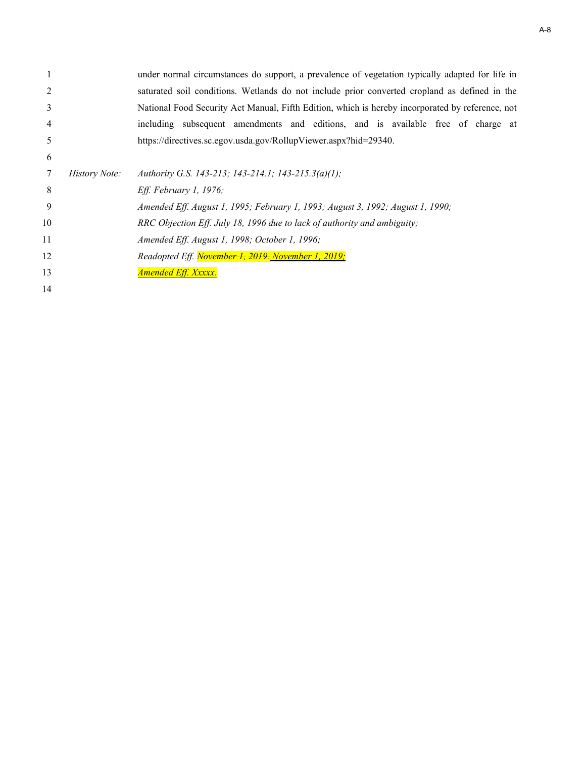|    |                      | under normal circumstances do support, a prevalence of vegetation typically adapted for life in  |
|----|----------------------|--------------------------------------------------------------------------------------------------|
|    |                      | saturated soil conditions. Wetlands do not include prior converted cropland as defined in the    |
| 3  |                      | National Food Security Act Manual, Fifth Edition, which is hereby incorporated by reference, not |
| 4  |                      | including subsequent amendments and editions, and is available free of charge at                 |
| 5  |                      | https://directives.sc.egov.usda.gov/RollupViewer.aspx?hid=29340.                                 |
| 6  |                      |                                                                                                  |
|    | <i>History Note:</i> | Authority G.S. 143-213; 143-214.1; 143-215.3(a)(1);                                              |
| 8  |                      | Eff. February 1, 1976;                                                                           |
| 9  |                      | Amended Eff. August 1, 1995; February 1, 1993; August 3, 1992; August 1, 1990;                   |
| 10 |                      | RRC Objection Eff. July 18, 1996 due to lack of authority and ambiguity;                         |
| 11 |                      | Amended Eff. August 1, 1998; October 1, 1996;                                                    |
| 12 |                      | Readopted Eff. November 1, 2019. November 1, 2019;                                               |
| 13 |                      | <b>Amended Eff. Xxxxx.</b>                                                                       |
| 14 |                      |                                                                                                  |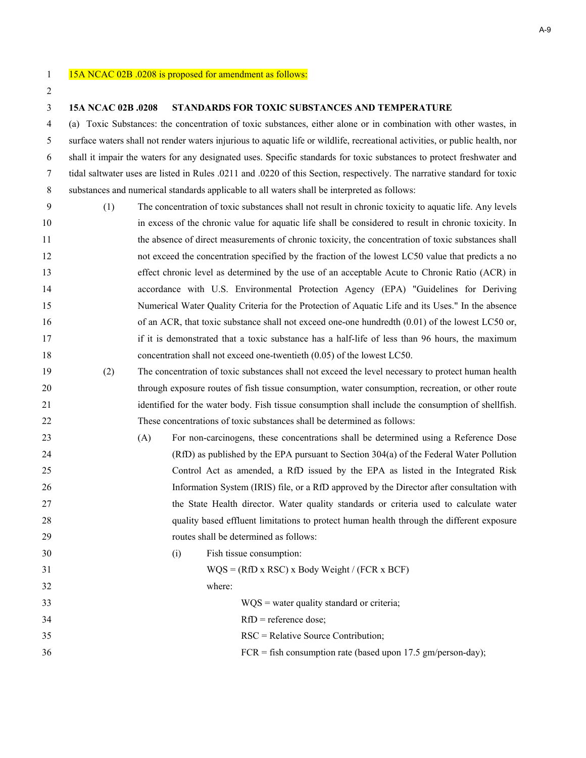#### **15A NCAC 02B .0208 STANDARDS FOR TOXIC SUBSTANCES AND TEMPERATURE**

4 (a) Toxic Substances: the concentration of toxic substances, either alone or in combination with other wastes, in 5 surface waters shall not render waters injurious to aquatic life or wildlife, recreational activities, or public health, nor 6 shall it impair the waters for any designated uses. Specific standards for toxic substances to protect freshwater and 7 tidal saltwater uses are listed in Rules .0211 and .0220 of this Section, respectively. The narrative standard for toxic 8 substances and numerical standards applicable to all waters shall be interpreted as follows:

- 9 (1) The concentration of toxic substances shall not result in chronic toxicity to aquatic life. Any levels in excess of the chronic value for aquatic life shall be considered to result in chronic toxicity. In the absence of direct measurements of chronic toxicity, the concentration of toxic substances shall not exceed the concentration specified by the fraction of the lowest LC50 value that predicts a no effect chronic level as determined by the use of an acceptable Acute to Chronic Ratio (ACR) in accordance with U.S. Environmental Protection Agency (EPA) "Guidelines for Deriving Numerical Water Quality Criteria for the Protection of Aquatic Life and its Uses." In the absence 16 of an ACR, that toxic substance shall not exceed one-one hundredth (0.01) of the lowest LC50 or, if it is demonstrated that a toxic substance has a half-life of less than 96 hours, the maximum concentration shall not exceed one-twentieth (0.05) of the lowest LC50.
- (2) The concentration of toxic substances shall not exceed the level necessary to protect human health through exposure routes of fish tissue consumption, water consumption, recreation, or other route identified for the water body. Fish tissue consumption shall include the consumption of shellfish. These concentrations of toxic substances shall be determined as follows:
- (A) For non-carcinogens, these concentrations shall be determined using a Reference Dose (RfD) as published by the EPA pursuant to Section 304(a) of the Federal Water Pollution Control Act as amended, a RfD issued by the EPA as listed in the Integrated Risk Information System (IRIS) file, or a RfD approved by the Director after consultation with the State Health director. Water quality standards or criteria used to calculate water quality based effluent limitations to protect human health through the different exposure routes shall be determined as follows: (i) Fish tissue consumption: WQS = (RfD x RSC) x Body Weight / (FCR x BCF)

 where: WQS = water quality standard or criteria; 34 RfD = reference dose; RSC = Relative Source Contribution; FCR = fish consumption rate (based upon 17.5 gm/person-day);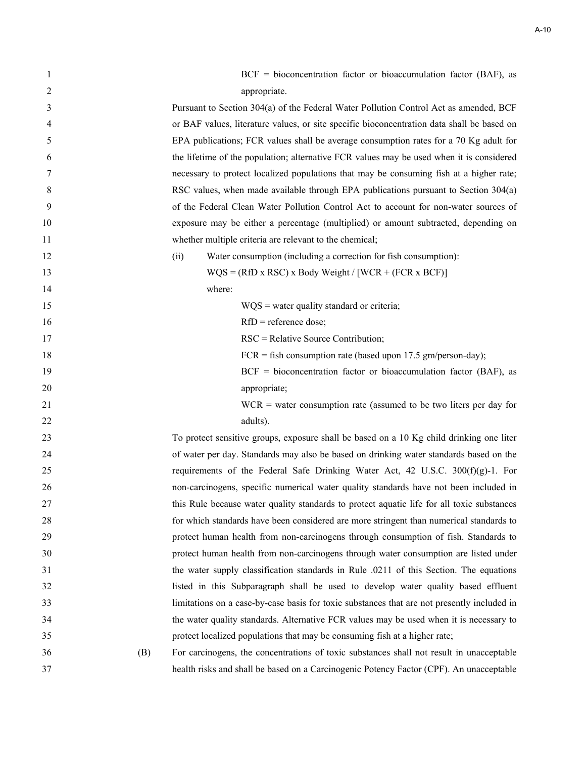| 1  |     | $BCF = bioconcentration factor or bioaccumulation factor (BAF), as$                         |
|----|-----|---------------------------------------------------------------------------------------------|
| 2  |     | appropriate.                                                                                |
| 3  |     | Pursuant to Section 304(a) of the Federal Water Pollution Control Act as amended, BCF       |
| 4  |     | or BAF values, literature values, or site specific bioconcentration data shall be based on  |
| 5  |     | EPA publications; FCR values shall be average consumption rates for a 70 Kg adult for       |
| 6  |     | the lifetime of the population; alternative FCR values may be used when it is considered    |
| 7  |     | necessary to protect localized populations that may be consuming fish at a higher rate;     |
| 8  |     | RSC values, when made available through EPA publications pursuant to Section 304(a)         |
| 9  |     | of the Federal Clean Water Pollution Control Act to account for non-water sources of        |
| 10 |     | exposure may be either a percentage (multiplied) or amount subtracted, depending on         |
| 11 |     | whether multiple criteria are relevant to the chemical;                                     |
| 12 |     | Water consumption (including a correction for fish consumption):<br>(ii)                    |
| 13 |     | $WQS = (RfD x RSC) x Body Weight / [WCR + (FCR x BCF)]$                                     |
| 14 |     | where:                                                                                      |
| 15 |     | $WQS = water$ quality standard or criteria;                                                 |
| 16 |     | $RfD$ = reference dose;                                                                     |
| 17 |     | RSC = Relative Source Contribution;                                                         |
| 18 |     | $FCR = fish consumption rate (based upon 17.5 gm/person-day);$                              |
| 19 |     | $BCF = bioconcentration factor or bioaccumulation factor (BAF), as$                         |
| 20 |     | appropriate;                                                                                |
| 21 |     | $WCR$ = water consumption rate (assumed to be two liters per day for                        |
| 22 |     | adults).                                                                                    |
| 23 |     | To protect sensitive groups, exposure shall be based on a 10 Kg child drinking one liter    |
| 24 |     | of water per day. Standards may also be based on drinking water standards based on the      |
| 25 |     | requirements of the Federal Safe Drinking Water Act, 42 U.S.C. 300(f)(g)-1. For             |
| 26 |     | non-carcinogens, specific numerical water quality standards have not been included in       |
| 27 |     | this Rule because water quality standards to protect aquatic life for all toxic substances  |
| 28 |     | for which standards have been considered are more stringent than numerical standards to     |
| 29 |     | protect human health from non-carcinogens through consumption of fish. Standards to         |
| 30 |     | protect human health from non-carcinogens through water consumption are listed under        |
| 31 |     | the water supply classification standards in Rule .0211 of this Section. The equations      |
| 32 |     | listed in this Subparagraph shall be used to develop water quality based effluent           |
| 33 |     | limitations on a case-by-case basis for toxic substances that are not presently included in |
| 34 |     | the water quality standards. Alternative FCR values may be used when it is necessary to     |
| 35 |     | protect localized populations that may be consuming fish at a higher rate;                  |
| 36 | (B) | For carcinogens, the concentrations of toxic substances shall not result in unacceptable    |
| 37 |     | health risks and shall be based on a Carcinogenic Potency Factor (CPF). An unacceptable     |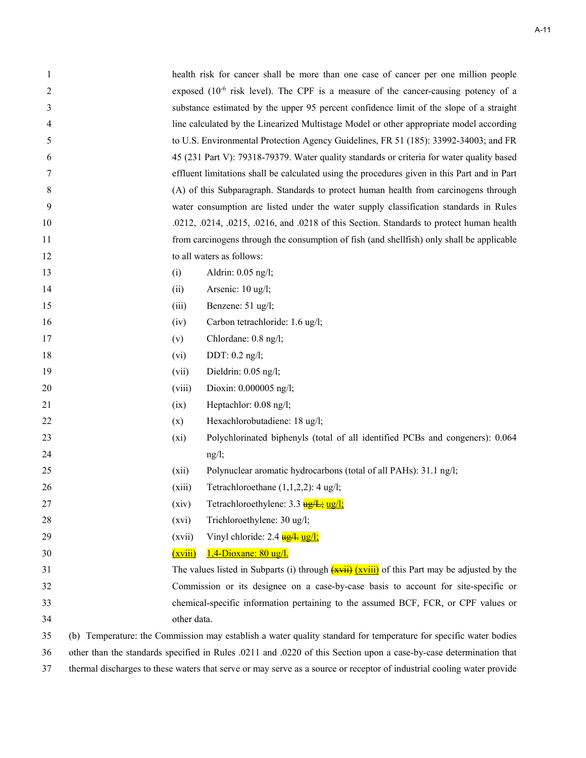| 1  | health risk for cancer shall be more than one case of cancer per one million people                                |
|----|--------------------------------------------------------------------------------------------------------------------|
| 2  | exposed $(10^{-6}$ risk level). The CPF is a measure of the cancer-causing potency of a                            |
| 3  | substance estimated by the upper 95 percent confidence limit of the slope of a straight                            |
| 4  | line calculated by the Linearized Multistage Model or other appropriate model according                            |
| 5  | to U.S. Environmental Protection Agency Guidelines, FR 51 (185): 33992-34003; and FR                               |
| 6  | 45 (231 Part V): 79318-79379. Water quality standards or criteria for water quality based                          |
| 7  | effluent limitations shall be calculated using the procedures given in this Part and in Part                       |
| 8  | (A) of this Subparagraph. Standards to protect human health from carcinogens through                               |
| 9  | water consumption are listed under the water supply classification standards in Rules                              |
| 10 | .0212, .0214, .0215, .0216, and .0218 of this Section. Standards to protect human health                           |
| 11 | from carcinogens through the consumption of fish (and shellfish) only shall be applicable                          |
| 12 | to all waters as follows:                                                                                          |
| 13 | Aldrin: 0.05 ng/l;<br>(i)                                                                                          |
| 14 | Arsenic: 10 ug/l;<br>(ii)                                                                                          |
| 15 | Benzene: 51 ug/l;<br>(iii)                                                                                         |
| 16 | Carbon tetrachloride: 1.6 ug/l;<br>(iv)                                                                            |
| 17 | Chlordane: 0.8 ng/l;<br>(v)                                                                                        |
| 18 | DDT: 0.2 ng/l;<br>(vi)                                                                                             |
| 19 | Dieldrin: 0.05 ng/l;<br>(vii)                                                                                      |
| 20 | Dioxin: 0.000005 ng/l;<br>(viii)                                                                                   |
| 21 | Heptachlor: 0.08 ng/l;<br>(ix)                                                                                     |
| 22 | Hexachlorobutadiene: 18 ug/l;<br>(x)                                                                               |
| 23 | Polychlorinated biphenyls (total of all identified PCBs and congeners): 0.064<br>$(x_i)$                           |
| 24 | ng/l;                                                                                                              |
| 25 | Polynuclear aromatic hydrocarbons (total of all PAHs): 31.1 ng/l;<br>(xii)                                         |
| 26 | (xiii)<br>Tetrachloroethane $(1,1,2,2)$ : 4 ug/l;                                                                  |
| 27 | Tetrachloroethylene: 3.3 ug/L; ug/l;<br>(xiv)                                                                      |
| 28 | Trichloroethylene: 30 ug/l;<br>(xvi)                                                                               |
| 29 | Vinyl chloride: 2.4 ug/l;<br>(xvii)                                                                                |
| 30 | $1,4$ -Dioxane: 80 ug/l.<br>(xviii)                                                                                |
| 31 | The values listed in Subparts (i) through $(xviii)$ (xviii) of this Part may be adjusted by the                    |
| 32 | Commission or its designee on a case-by-case basis to account for site-specific or                                 |
| 33 | chemical-specific information pertaining to the assumed BCF, FCR, or CPF values or                                 |
| 34 | other data.                                                                                                        |
| 35 | (b) Temperature: the Commission may establish a water quality standard for temperature for specific water bodies   |
| 36 | other than the standards specified in Rules .0211 and .0220 of this Section upon a case-by-case determination that |

thermal discharges to these waters that serve or may serve as a source or receptor of industrial cooling water provide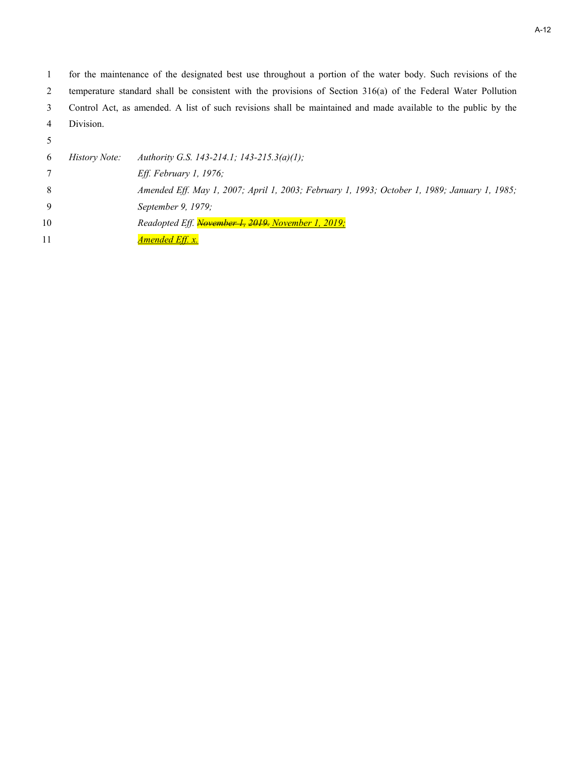1 for the maintenance of the designated best use throughout a portion of the water body. Such revisions of the 2 temperature standard shall be consistent with the provisions of Section 316(a) of the Federal Water Pollution 3 Control Act, as amended. A list of such revisions shall be maintained and made available to the public by the 4 Division.

5

| 6  | <i>History Note:</i> | Authority G.S. 143-214.1; 143-215.3(a)(1);                                                   |
|----|----------------------|----------------------------------------------------------------------------------------------|
|    |                      | <i>Eff. February 1, 1976;</i>                                                                |
| 8  |                      | Amended Eff. May 1, 2007; April 1, 2003; February 1, 1993; October 1, 1989; January 1, 1985; |
| 9  |                      | September 9, 1979;                                                                           |
| 10 |                      | Readopted Eff. November 1, 2019. November 1, 2019;                                           |
| 11 |                      | <u>Amended Eff. x.</u>                                                                       |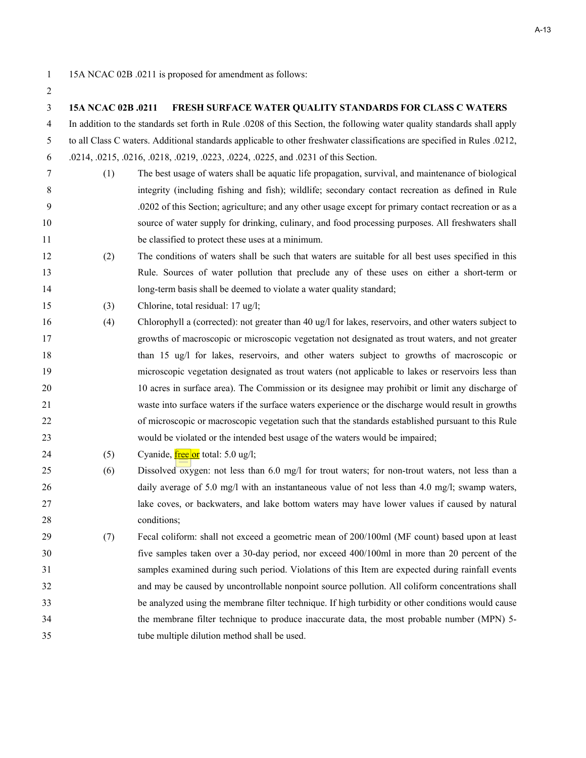#### **15A NCAC 02B .0211 FRESH SURFACE WATER QUALITY STANDARDS FOR CLASS C WATERS**

4 In addition to the standards set forth in Rule .0208 of this Section, the following water quality standards shall apply 5 to all Class C waters. Additional standards applicable to other freshwater classifications are specified in Rules .0212,

6 .0214, .0215, .0216, .0218, .0219, .0223, .0224, .0225, and .0231 of this Section.

- 7 (1) The best usage of waters shall be aquatic life propagation, survival, and maintenance of biological 8 integrity (including fishing and fish); wildlife; secondary contact recreation as defined in Rule 9 .0202 of this Section; agriculture; and any other usage except for primary contact recreation or as a source of water supply for drinking, culinary, and food processing purposes. All freshwaters shall be classified to protect these uses at a minimum.
- (2) The conditions of waters shall be such that waters are suitable for all best uses specified in this Rule. Sources of water pollution that preclude any of these uses on either a short-term or 14 long-term basis shall be deemed to violate a water quality standard;
- (3) Chlorine, total residual: 17 ug/l;
- (4) Chlorophyll a (corrected): not greater than 40 ug/l for lakes, reservoirs, and other waters subject to growths of macroscopic or microscopic vegetation not designated as trout waters, and not greater than 15 ug/l for lakes, reservoirs, and other waters subject to growths of macroscopic or microscopic vegetation designated as trout waters (not applicable to lakes or reservoirs less than 10 acres in surface area). The Commission or its designee may prohibit or limit any discharge of waste into surface waters if the surface waters experience or the discharge would result in growths of microscopic or macroscopic vegetation such that the standards established pursuant to this Rule would be violated or the intended best usage of the waters would be impaired;
- 24 (5) Cyanide,  $\frac{\text{free}}{\text{or}}$  total: 5.0 ug/l;
- (6) Dissolved oxygen: not less than 6.0 mg/l for trout waters; for non-trout waters, not less than a 26 daily average of 5.0 mg/l with an instantaneous value of not less than 4.0 mg/l; swamp waters, lake coves, or backwaters, and lake bottom waters may have lower values if caused by natural 28 conditions;
- (7) Fecal coliform: shall not exceed a geometric mean of 200/100ml (MF count) based upon at least five samples taken over a 30-day period, nor exceed 400/100ml in more than 20 percent of the samples examined during such period. Violations of this Item are expected during rainfall events and may be caused by uncontrollable nonpoint source pollution. All coliform concentrations shall be analyzed using the membrane filter technique. If high turbidity or other conditions would cause the membrane filter technique to produce inaccurate data, the most probable number (MPN) 5- tube multiple dilution method shall be used.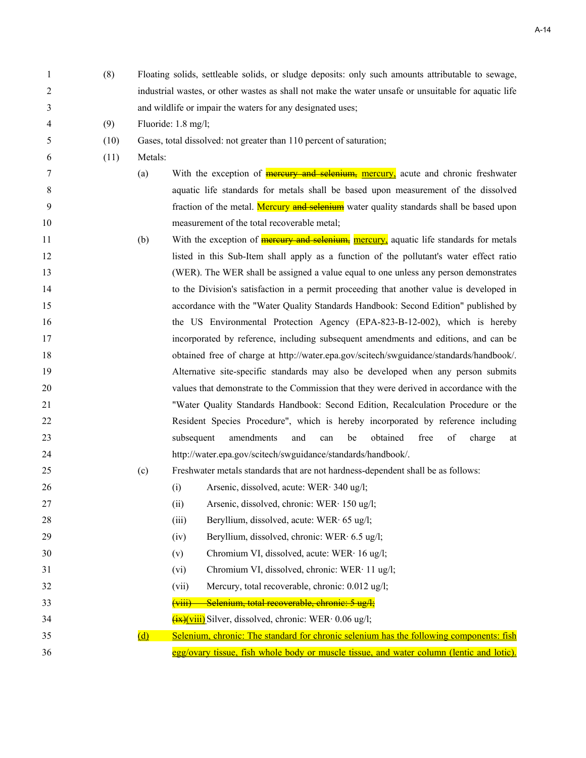| 1  | (8)  | Floating solids, settleable solids, or sludge deposits: only such amounts attributable to sewage,             |  |  |  |
|----|------|---------------------------------------------------------------------------------------------------------------|--|--|--|
| 2  |      | industrial wastes, or other wastes as shall not make the water unsafe or unsuitable for aquatic life          |  |  |  |
| 3  |      | and wildlife or impair the waters for any designated uses;                                                    |  |  |  |
| 4  | (9)  | Fluoride: 1.8 mg/l;                                                                                           |  |  |  |
| 5  | (10) | Gases, total dissolved: not greater than 110 percent of saturation;                                           |  |  |  |
| 6  | (11) | Metals:                                                                                                       |  |  |  |
| 7  |      | With the exception of <b>mercury and selenium</b> , mercury, acute and chronic freshwater<br>(a)              |  |  |  |
| 8  |      | aquatic life standards for metals shall be based upon measurement of the dissolved                            |  |  |  |
| 9  |      | fraction of the metal. Mercury and selenium water quality standards shall be based upon                       |  |  |  |
| 10 |      | measurement of the total recoverable metal;                                                                   |  |  |  |
| 11 |      | With the exception of <b>mercury and selenium</b> , <b>mercury</b> , aquatic life standards for metals<br>(b) |  |  |  |
| 12 |      | listed in this Sub-Item shall apply as a function of the pollutant's water effect ratio                       |  |  |  |
| 13 |      | (WER). The WER shall be assigned a value equal to one unless any person demonstrates                          |  |  |  |
| 14 |      | to the Division's satisfaction in a permit proceeding that another value is developed in                      |  |  |  |
| 15 |      | accordance with the "Water Quality Standards Handbook: Second Edition" published by                           |  |  |  |
| 16 |      | the US Environmental Protection Agency (EPA-823-B-12-002), which is hereby                                    |  |  |  |
| 17 |      | incorporated by reference, including subsequent amendments and editions, and can be                           |  |  |  |
| 18 |      | obtained free of charge at http://water.epa.gov/scitech/swguidance/standards/handbook/.                       |  |  |  |
| 19 |      | Alternative site-specific standards may also be developed when any person submits                             |  |  |  |
| 20 |      | values that demonstrate to the Commission that they were derived in accordance with the                       |  |  |  |
| 21 |      | "Water Quality Standards Handbook: Second Edition, Recalculation Procedure or the                             |  |  |  |
| 22 |      | Resident Species Procedure", which is hereby incorporated by reference including                              |  |  |  |
| 23 |      | free<br>amendments<br>and<br>obtained<br>of<br>subsequent<br>be<br>charge<br>can<br>at                        |  |  |  |
| 24 |      | http://water.epa.gov/scitech/swguidance/standards/handbook/.                                                  |  |  |  |
| 25 |      | (c)<br>Freshwater metals standards that are not hardness-dependent shall be as follows:                       |  |  |  |
| 26 |      | (i)<br>Arsenic, dissolved, acute: WER· 340 ug/l;                                                              |  |  |  |
| 27 |      | Arsenic, dissolved, chronic: WER· 150 ug/l;<br>(ii)                                                           |  |  |  |
| 28 |      | Beryllium, dissolved, acute: WER· 65 ug/l;<br>(iii)                                                           |  |  |  |
| 29 |      | Beryllium, dissolved, chronic: WER 6.5 ug/l;<br>(iv)                                                          |  |  |  |
| 30 |      | Chromium VI, dissolved, acute: WER· 16 ug/l;<br>(v)                                                           |  |  |  |
| 31 |      | Chromium VI, dissolved, chronic: WER· 11 ug/l;<br>(vi)                                                        |  |  |  |
| 32 |      | Mercury, total recoverable, chronic: 0.012 ug/l;<br>(vii)                                                     |  |  |  |
| 33 |      | Selenium, total recoverable, chronic: 5 ug/l;<br>$\overline{\text{(viii)}}$                                   |  |  |  |
| 34 |      | $\frac{f(x)}{f(x)}$ Silver, dissolved, chronic: WER $\cdot$ 0.06 ug/l;                                        |  |  |  |
| 35 |      | Selenium, chronic: The standard for chronic selenium has the following components: fish<br>(d)                |  |  |  |
| 36 |      | egg/ovary tissue, fish whole body or muscle tissue, and water column (lentic and lotic).                      |  |  |  |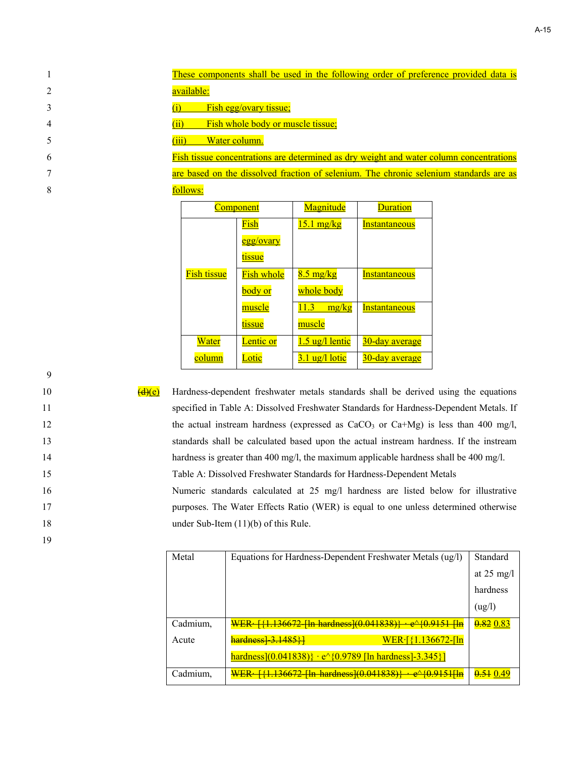| These components shall be used in the following order of preference provided data is    |
|-----------------------------------------------------------------------------------------|
| available:                                                                              |
| Fish egg/ovary tissue;                                                                  |
| Fish whole body or muscle tissue;                                                       |
| Water column.                                                                           |
| Fish tissue concentrations are determined as dry weight and water column concentrations |

7 are based on the dissolved fraction of selenium. The chronic selenium standards are as 8 follows:

|                    | <b>Component</b>  | <b>Magnitude</b>                 | <b>Duration</b>      |
|--------------------|-------------------|----------------------------------|----------------------|
|                    | Fish              | $15.1 \text{ mg/kg}$             | <b>Instantaneous</b> |
|                    | egg/ovary         |                                  |                      |
|                    | tissue            |                                  |                      |
| <b>Fish tissue</b> | <b>Fish whole</b> | $8.5 \text{ mg/kg}$              | <b>Instantaneous</b> |
|                    | body or           | whole body                       |                      |
|                    | muscle            | 11.3<br>mg/kg                    | <b>Instantaneous</b> |
|                    | tissue            | muscle                           |                      |
| Water              | <u>Lentic or</u>  | 1.5 ug/l lentic                  | 30-day average       |
| column             | Lotic             | $3.1 \text{ ug}/1 \text{ lotic}$ | 30-day average       |

9

19

 $\left(\frac{d\mathcal{H}\rho}{dt\mathcal{H}}\right)$  Hardness-dependent freshwater metals standards shall be derived using the equations specified in Table A: Dissolved Freshwater Standards for Hardness-Dependent Metals. If 12 the actual instream hardness (expressed as CaCO<sub>3</sub> or Ca+Mg) is less than 400 mg/l, standards shall be calculated based upon the actual instream hardness. If the instream 14 hardness is greater than 400 mg/l, the maximum applicable hardness shall be 400 mg/l. Table A: Dissolved Freshwater Standards for Hardness-Dependent Metals Numeric standards calculated at 25 mg/l hardness are listed below for illustrative

17 purposes. The Water Effects Ratio (WER) is equal to one unless determined otherwise 18 under Sub-Item (11)(b) of this Rule.

| Metal    | Equations for Hardness-Dependent Freshwater Metals (ug/l)                | Standard             |
|----------|--------------------------------------------------------------------------|----------------------|
|          |                                                                          | at $25 \text{ mg/l}$ |
|          |                                                                          | hardness             |
|          |                                                                          | (ug/l)               |
| Cadmium, | WER [{1.136672 [ln hardness](0.041838)} · e^{0.9151 [ln                  | $0.82\ 0.83$         |
| Acute    | $WER \cdot \frac{1.136672 - \ln{1}}{1}$<br><del>hardness] 3.1485}]</del> |                      |
|          | hardness](0.041838)} · $e^{(0.9789)}$ [ln hardness]-3.345}]              |                      |
| Cadmium, |                                                                          |                      |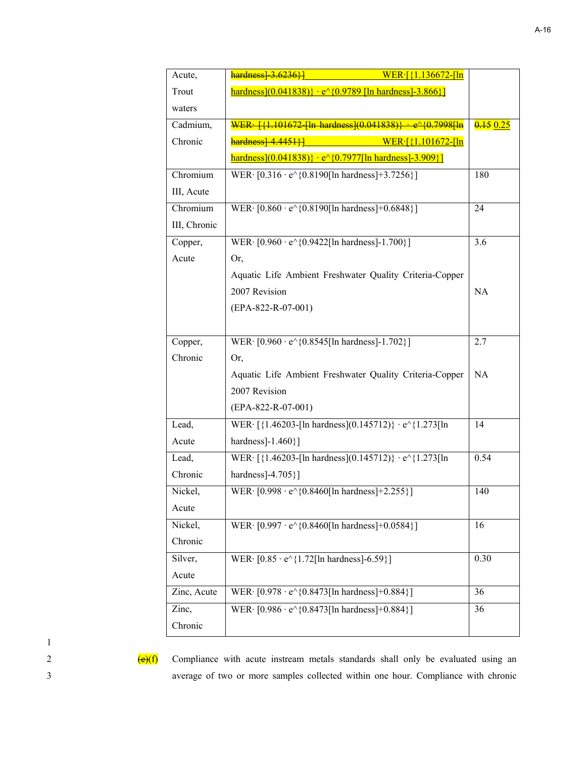| Acute,       | $harduess$ 3.6236 }<br>$WER\cdot$ [{1.136672-[ln]                              |          |
|--------------|--------------------------------------------------------------------------------|----------|
| Trout        | $\frac{\text{hardness}(0.041838)}{+e^{6}(0.9789)}$ [ln hardness] - 3.866}]     |          |
| waters       |                                                                                |          |
| Cadmium,     | WER: [{1.101672 [ln hardness](0.041838)} · e^{0.7998[ln                        | 0.150.25 |
| Chronic      | $harduess$   $4.4451$   $\overline{\phantom{1}}$<br>$WER\cdot$ [{1.101672-[ln] |          |
|              | $hardness[(0.041838)] \cdot e^{6}(0.7977[ln hardness] - 3.909]$                |          |
| Chromium     | WER $[0.316 \cdot e^{\wedge} \{0.8190[ \ln \text{ hardness} ] + 3.7256 \}]$    | 180      |
| III, Acute   |                                                                                |          |
| Chromium     | WER · [0.860 · e^{0.8190[ln hardness]+0.6848}]                                 | 24       |
| III, Chronic |                                                                                |          |
| Copper,      | WER · [0.960 · e^{0.9422[ln hardness]-1.700}]                                  | 3.6      |
| Acute        | Or,                                                                            |          |
|              | Aquatic Life Ambient Freshwater Quality Criteria-Copper                        |          |
|              | 2007 Revision                                                                  | NA       |
|              | (EPA-822-R-07-001)                                                             |          |
|              |                                                                                |          |
| Copper,      | WER · [0.960 · e^{0.8545[ln hardness]-1.702}]                                  | 2.7      |
| Chronic      | Or,                                                                            |          |
|              | Aquatic Life Ambient Freshwater Quality Criteria-Copper                        | NA       |
|              | 2007 Revision                                                                  |          |
|              | (EPA-822-R-07-001)                                                             |          |
| Lead,        | WER· [{1.46203-[ln hardness](0.145712)} · e^{1.273[ln                          | 14       |
| Acute        | hardness]-1.460}]                                                              |          |
| Lead,        | WER [{1.46203-[ln hardness](0.145712)} · e^{1.273[ln                           | 0.54     |
| Chronic      | hardness]-4.705}]                                                              |          |
| Nickel,      | WER $[0.998 \cdot e^{\wedge} \{0.8460[ \ln \text{ hardness} ] + 2.255 \}]$     | 140      |
| Acute        |                                                                                |          |
| Nickel,      | WER · [0.997 · e^{0.8460[ln hardness]+0.0584}]                                 | 16       |
| Chronic      |                                                                                |          |
| Silver,      | WER $\cdot$ [0.85 $\cdot$ e $\land$ {1.72[ln hardness]-6.59}]                  | 0.30     |
| Acute        |                                                                                |          |
| Zinc, Acute  | WER · [0.978 · e^{0.8473[ln hardness]+0.884}]                                  | 36       |
| Zinc,        | WER · [0.986 · e^{0.8473[ln hardness]+0.884}]                                  | 36       |
| Chronic      |                                                                                |          |
|              |                                                                                |          |

2  $\left(\frac{e}{f}\right)$  Compliance with acute instream metals standards shall only be evaluated using an 3 average of two or more samples collected within one hour. Compliance with chronic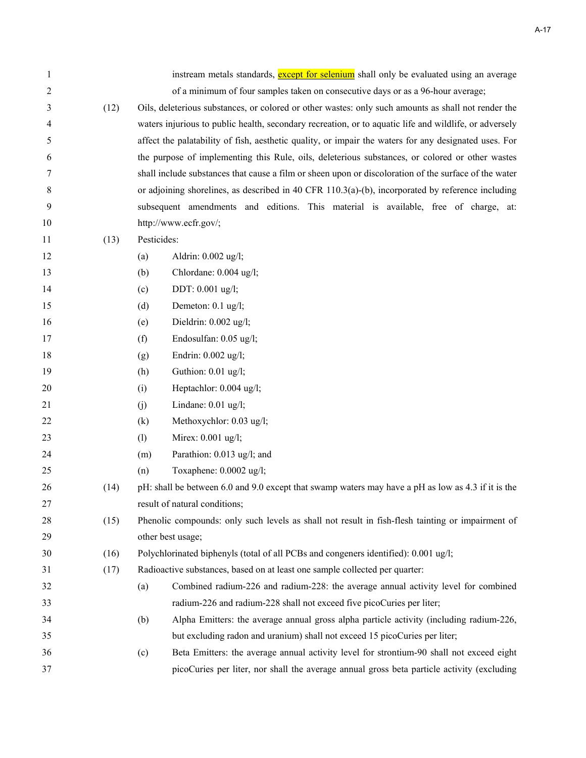| 1              |      | instream metals standards, except for selenium shall only be evaluated using an average                |
|----------------|------|--------------------------------------------------------------------------------------------------------|
| $\overline{2}$ |      | of a minimum of four samples taken on consecutive days or as a 96-hour average;                        |
| 3              | (12) | Oils, deleterious substances, or colored or other wastes: only such amounts as shall not render the    |
| 4              |      | waters injurious to public health, secondary recreation, or to aquatic life and wildlife, or adversely |
| 5              |      | affect the palatability of fish, aesthetic quality, or impair the waters for any designated uses. For  |
| 6              |      | the purpose of implementing this Rule, oils, deleterious substances, or colored or other wastes        |
| 7              |      | shall include substances that cause a film or sheen upon or discoloration of the surface of the water  |
| 8              |      | or adjoining shorelines, as described in 40 CFR 110.3(a)-(b), incorporated by reference including      |
| 9              |      | subsequent amendments and editions. This material is available, free of charge, at:                    |
| 10             |      | http://www.ecfr.gov/;                                                                                  |
| 11             | (13) | Pesticides:                                                                                            |
| 12             |      | Aldrin: 0.002 ug/l;<br>(a)                                                                             |
| 13             |      | Chlordane: 0.004 ug/l;<br>(b)                                                                          |
| 14             |      | DDT: 0.001 ug/l;<br>(c)                                                                                |
| 15             |      | Demeton: 0.1 ug/l;<br>(d)                                                                              |
| 16             |      | Dieldrin: 0.002 ug/l;<br>(e)                                                                           |
| 17             |      | Endosulfan: 0.05 ug/l;<br>(f)                                                                          |
| 18             |      | Endrin: 0.002 ug/l;<br>(g)                                                                             |
| 19             |      | Guthion: 0.01 ug/l;<br>(h)                                                                             |
| 20             |      | Heptachlor: 0.004 ug/l;<br>(i)                                                                         |
| 21             |      | Lindane: 0.01 ug/l;<br>(j)                                                                             |
| 22             |      | (k)<br>Methoxychlor: 0.03 ug/l;                                                                        |
| 23             |      | Mirex: 0.001 ug/l;<br>(1)                                                                              |
| 24             |      | Parathion: 0.013 ug/l; and<br>(m)                                                                      |
| 25             |      | Toxaphene: 0.0002 ug/l;<br>(n)                                                                         |
| 26             | (14) | pH: shall be between 6.0 and 9.0 except that swamp waters may have a pH as low as 4.3 if it is the     |
| 27             |      | result of natural conditions;                                                                          |
| 28             | (15) | Phenolic compounds: only such levels as shall not result in fish-flesh tainting or impairment of       |
| 29             |      | other best usage;                                                                                      |
| 30             | (16) | Polychlorinated biphenyls (total of all PCBs and congeners identified): 0.001 ug/l;                    |
| 31             | (17) | Radioactive substances, based on at least one sample collected per quarter:                            |
| 32             |      | Combined radium-226 and radium-228: the average annual activity level for combined<br>(a)              |
| 33             |      | radium-226 and radium-228 shall not exceed five picoCuries per liter;                                  |
| 34             |      | Alpha Emitters: the average annual gross alpha particle activity (including radium-226,<br>(b)         |
| 35             |      | but excluding radon and uranium) shall not exceed 15 picoCuries per liter;                             |
| 36             |      | Beta Emitters: the average annual activity level for strontium-90 shall not exceed eight<br>(c)        |
| 37             |      | picoCuries per liter, nor shall the average annual gross beta particle activity (excluding             |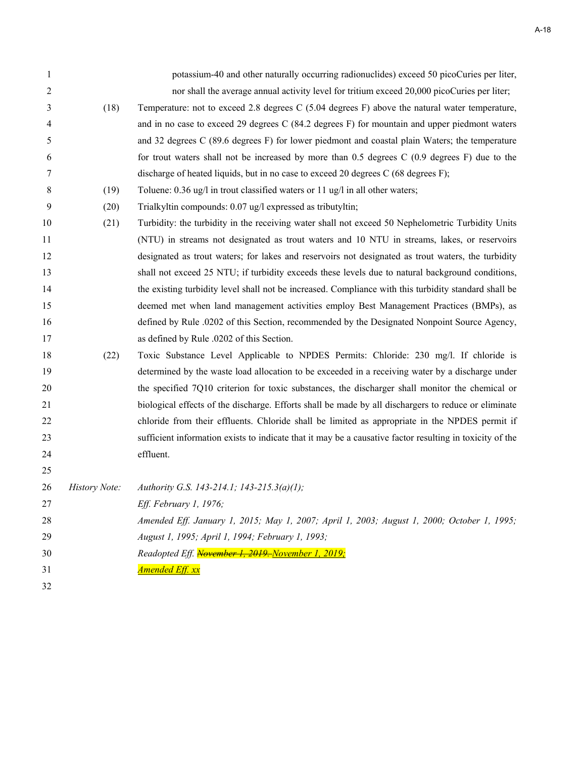| $\mathbf{1}$ |               | potassium-40 and other naturally occurring radionuclides) exceed 50 picoCuries per liter,                |
|--------------|---------------|----------------------------------------------------------------------------------------------------------|
| 2            |               | nor shall the average annual activity level for tritium exceed 20,000 picoCuries per liter;              |
| 3            | (18)          | Temperature: not to exceed 2.8 degrees C (5.04 degrees F) above the natural water temperature,           |
| 4            |               | and in no case to exceed 29 degrees C (84.2 degrees F) for mountain and upper piedmont waters            |
| 5            |               | and 32 degrees C (89.6 degrees F) for lower piedmont and coastal plain Waters; the temperature           |
| 6            |               | for trout waters shall not be increased by more than $0.5$ degrees C $(0.9$ degrees F) due to the        |
| 7            |               | discharge of heated liquids, but in no case to exceed 20 degrees C (68 degrees F);                       |
| 8            | (19)          | Toluene: 0.36 ug/l in trout classified waters or 11 ug/l in all other waters;                            |
| 9            | (20)          | Trialkyltin compounds: 0.07 ug/l expressed as tributyltin;                                               |
| 10           | (21)          | Turbidity: the turbidity in the receiving water shall not exceed 50 Nephelometric Turbidity Units        |
| 11           |               | (NTU) in streams not designated as trout waters and 10 NTU in streams, lakes, or reservoirs              |
| 12           |               | designated as trout waters; for lakes and reservoirs not designated as trout waters, the turbidity       |
| 13           |               | shall not exceed 25 NTU; if turbidity exceeds these levels due to natural background conditions,         |
| 14           |               | the existing turbidity level shall not be increased. Compliance with this turbidity standard shall be    |
| 15           |               | deemed met when land management activities employ Best Management Practices (BMPs), as                   |
| 16           |               | defined by Rule .0202 of this Section, recommended by the Designated Nonpoint Source Agency,             |
| 17           |               | as defined by Rule .0202 of this Section.                                                                |
| 18           | (22)          | Toxic Substance Level Applicable to NPDES Permits: Chloride: 230 mg/l. If chloride is                    |
| 19           |               | determined by the waste load allocation to be exceeded in a receiving water by a discharge under         |
| 20           |               | the specified 7Q10 criterion for toxic substances, the discharger shall monitor the chemical or          |
| 21           |               | biological effects of the discharge. Efforts shall be made by all dischargers to reduce or eliminate     |
| 22           |               | chloride from their effluents. Chloride shall be limited as appropriate in the NPDES permit if           |
| 23           |               | sufficient information exists to indicate that it may be a causative factor resulting in toxicity of the |
| 24           |               | effluent.                                                                                                |
| 25           |               |                                                                                                          |
| 26           | History Note: | Authority G.S. 143-214.1; 143-215.3(a)(1);                                                               |
| 27           |               | Eff. February 1, 1976;                                                                                   |
| 28           |               | Amended Eff. January 1, 2015; May 1, 2007; April 1, 2003; August 1, 2000; October 1, 1995;               |
| 29           |               | August 1, 1995; April 1, 1994; February 1, 1993;                                                         |
| 30           |               | Readopted Eff. November 1, 2019. November 1, 2019;                                                       |
| 31           |               | <u>Amended Eff. xx</u>                                                                                   |
| 32           |               |                                                                                                          |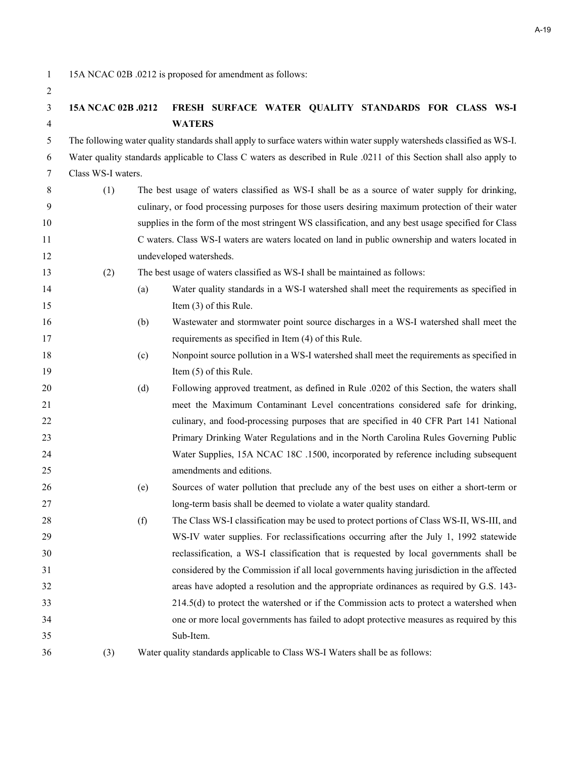1 15A NCAC 02B .0212 is proposed for amendment as follows:

### **15A NCAC 02B .0212 FRESH SURFACE WATER QUALITY STANDARDS FOR CLASS WS-I WATERS**

5 The following water quality standards shall apply to surface waters within water supply watersheds classified as WS-I.

6 Water quality standards applicable to Class C waters as described in Rule .0211 of this Section shall also apply to 7 Class WS-I waters.

- 8 (1) The best usage of waters classified as WS-I shall be as a source of water supply for drinking, 9 culinary, or food processing purposes for those users desiring maximum protection of their water supplies in the form of the most stringent WS classification, and any best usage specified for Class C waters. Class WS-I waters are waters located on land in public ownership and waters located in undeveloped watersheds.
- (2) The best usage of waters classified as WS-I shall be maintained as follows:
- (a) Water quality standards in a WS-I watershed shall meet the requirements as specified in 15 Item (3) of this Rule.
- (b) Wastewater and stormwater point source discharges in a WS-I watershed shall meet the requirements as specified in Item (4) of this Rule.
- (c) Nonpoint source pollution in a WS-I watershed shall meet the requirements as specified in 19 Item (5) of this Rule.
- (d) Following approved treatment, as defined in Rule .0202 of this Section, the waters shall meet the Maximum Contaminant Level concentrations considered safe for drinking, 22 culinary, and food-processing purposes that are specified in 40 CFR Part 141 National Primary Drinking Water Regulations and in the North Carolina Rules Governing Public Water Supplies, 15A NCAC 18C .1500, incorporated by reference including subsequent amendments and editions.
- (e) Sources of water pollution that preclude any of the best uses on either a short-term or long-term basis shall be deemed to violate a water quality standard.
- (f) The Class WS-I classification may be used to protect portions of Class WS-II, WS-III, and WS-IV water supplies. For reclassifications occurring after the July 1, 1992 statewide reclassification, a WS-I classification that is requested by local governments shall be considered by the Commission if all local governments having jurisdiction in the affected areas have adopted a resolution and the appropriate ordinances as required by G.S. 143- 214.5(d) to protect the watershed or if the Commission acts to protect a watershed when one or more local governments has failed to adopt protective measures as required by this Sub-Item.

(3) Water quality standards applicable to Class WS-I Waters shall be as follows: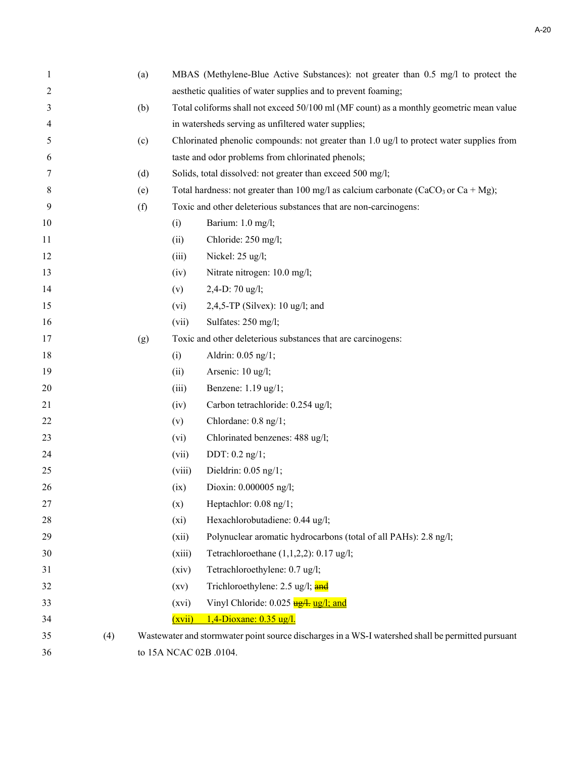| $\mathbf{1}$   |     | (a) | MBAS (Methylene-Blue Active Substances): not greater than 0.5 mg/l to protect the       |                                                                                                    |  |
|----------------|-----|-----|-----------------------------------------------------------------------------------------|----------------------------------------------------------------------------------------------------|--|
| $\overline{2}$ |     |     | aesthetic qualities of water supplies and to prevent foaming;                           |                                                                                                    |  |
| 3              |     | (b) | Total coliforms shall not exceed 50/100 ml (MF count) as a monthly geometric mean value |                                                                                                    |  |
| 4              |     |     |                                                                                         | in watersheds serving as unfiltered water supplies;                                                |  |
| 5              |     | (c) |                                                                                         | Chlorinated phenolic compounds: not greater than $1.0 \text{ ug/l}$ to protect water supplies from |  |
| 6              |     |     |                                                                                         | taste and odor problems from chlorinated phenols;                                                  |  |
| 7              |     | (d) |                                                                                         | Solids, total dissolved: not greater than exceed 500 mg/l;                                         |  |
| 8              |     | (e) |                                                                                         | Total hardness: not greater than 100 mg/l as calcium carbonate (CaCO <sub>3</sub> or Ca + Mg);     |  |
| 9              |     | (f) |                                                                                         | Toxic and other deleterious substances that are non-carcinogens:                                   |  |
| 10             |     |     | (i)                                                                                     | Barium: 1.0 mg/l;                                                                                  |  |
| 11             |     |     | (ii)                                                                                    | Chloride: 250 mg/l;                                                                                |  |
| 12             |     |     | (iii)                                                                                   | Nickel: 25 ug/l;                                                                                   |  |
| 13             |     |     | (iv)                                                                                    | Nitrate nitrogen: 10.0 mg/l;                                                                       |  |
| 14             |     |     | (v)                                                                                     | 2,4-D: 70 ug/l;                                                                                    |  |
| 15             |     |     | (vi)                                                                                    | 2,4,5-TP (Silvex): $10$ ug/l; and                                                                  |  |
| 16             |     |     | (vii)                                                                                   | Sulfates: 250 mg/l;                                                                                |  |
| 17             |     | (g) |                                                                                         | Toxic and other deleterious substances that are carcinogens:                                       |  |
| 18             |     |     | (i)                                                                                     | Aldrin: 0.05 ng/1;                                                                                 |  |
| 19             |     |     | (ii)                                                                                    | Arsenic: 10 ug/l;                                                                                  |  |
| 20             |     |     | (iii)                                                                                   | Benzene: 1.19 ug/1;                                                                                |  |
| 21             |     |     | (iv)                                                                                    | Carbon tetrachloride: 0.254 ug/l;                                                                  |  |
| 22             |     |     | (v)                                                                                     | Chlordane: 0.8 ng/1;                                                                               |  |
| 23             |     |     | (vi)                                                                                    | Chlorinated benzenes: 488 ug/l;                                                                    |  |
| 24             |     |     | (vii)                                                                                   | DDT: $0.2$ ng/1;                                                                                   |  |
| 25             |     |     | (viii)                                                                                  | Dieldrin: $0.05$ ng/1;                                                                             |  |
| 26             |     |     | (ix)                                                                                    | Dioxin: 0.000005 ng/l;                                                                             |  |
| 27             |     |     | (x)                                                                                     | Heptachlor: 0.08 ng/1;                                                                             |  |
| 28             |     |     | $(x_i)$                                                                                 | Hexachlorobutadiene: 0.44 ug/l;                                                                    |  |
| 29             |     |     | (xii)                                                                                   | Polynuclear aromatic hydrocarbons (total of all PAHs): 2.8 ng/l;                                   |  |
| 30             |     |     | (xiii)                                                                                  | Tetrachloroethane $(1,1,2,2)$ : 0.17 ug/l;                                                         |  |
| 31             |     |     | (xiv)                                                                                   | Tetrachloroethylene: 0.7 ug/l;                                                                     |  |
| 32             |     |     | (xv)                                                                                    | Trichloroethylene: 2.5 ug/l; and                                                                   |  |
| 33             |     |     | (xvi)                                                                                   | Vinyl Chloride: 0.025 ug/l, ug/l; and                                                              |  |
| 34             |     |     | (xvii)                                                                                  | 1,4-Dioxane: 0.35 ug/l.                                                                            |  |
| 35             | (4) |     |                                                                                         | Wastewater and stormwater point source discharges in a WS-I watershed shall be permitted pursuant  |  |
| 36             |     |     |                                                                                         | to 15A NCAC 02B .0104.                                                                             |  |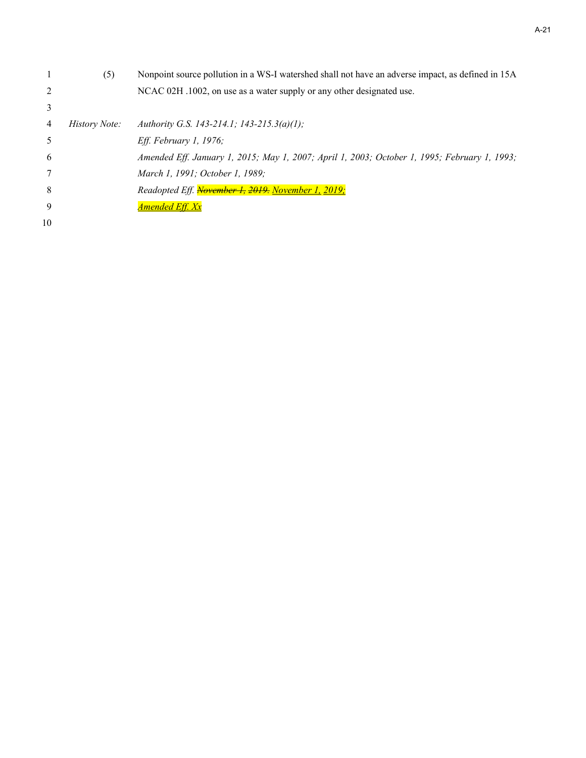|    | (5)           | Nonpoint source pollution in a WS-I watershed shall not have an adverse impact, as defined in 15A |
|----|---------------|---------------------------------------------------------------------------------------------------|
| 2  |               | NCAC 02H .1002, on use as a water supply or any other designated use.                             |
| 3  |               |                                                                                                   |
| 4  | History Note: | Authority G.S. 143-214.1; 143-215.3(a)(1);                                                        |
| -5 |               | <i>Eff. February 1, 1976;</i>                                                                     |
| -6 |               | Amended Eff. January 1, 2015; May 1, 2007; April 1, 2003; October 1, 1995; February 1, 1993;      |
|    |               | March 1, 1991; October 1, 1989;                                                                   |
| 8  |               | Readopted Eff. November 1, 2019. November 1, 2019;                                                |
| -9 |               | Amended Eff. Xx                                                                                   |
| 10 |               |                                                                                                   |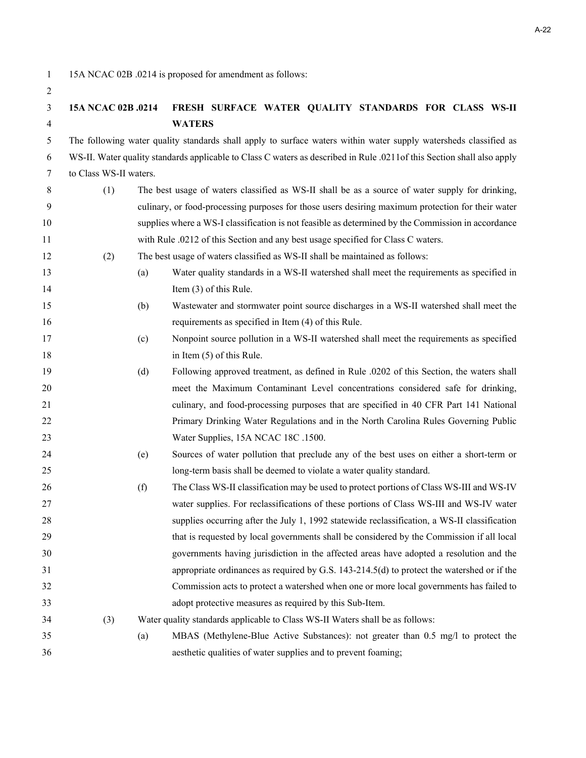1 15A NCAC 02B .0214 is proposed for amendment as follows:

| 3  | 15A NCAC 02B .0214     |     | FRESH SURFACE WATER QUALITY STANDARDS FOR CLASS WS-II                                                                  |
|----|------------------------|-----|------------------------------------------------------------------------------------------------------------------------|
| 4  |                        |     | <b>WATERS</b>                                                                                                          |
| 5  |                        |     | The following water quality standards shall apply to surface waters within water supply watersheds classified as       |
| 6  |                        |     | WS-II. Water quality standards applicable to Class C waters as described in Rule .0211of this Section shall also apply |
| 7  | to Class WS-II waters. |     |                                                                                                                        |
| 8  | (1)                    |     | The best usage of waters classified as WS-II shall be as a source of water supply for drinking,                        |
| 9  |                        |     | culinary, or food-processing purposes for those users desiring maximum protection for their water                      |
| 10 |                        |     | supplies where a WS-I classification is not feasible as determined by the Commission in accordance                     |
| 11 |                        |     | with Rule .0212 of this Section and any best usage specified for Class C waters.                                       |
| 12 | (2)                    |     | The best usage of waters classified as WS-II shall be maintained as follows:                                           |
| 13 |                        | (a) | Water quality standards in a WS-II watershed shall meet the requirements as specified in                               |
| 14 |                        |     | Item $(3)$ of this Rule.                                                                                               |
| 15 |                        | (b) | Wastewater and stormwater point source discharges in a WS-II watershed shall meet the                                  |
| 16 |                        |     | requirements as specified in Item (4) of this Rule.                                                                    |
| 17 |                        | (c) | Nonpoint source pollution in a WS-II watershed shall meet the requirements as specified                                |
| 18 |                        |     | in Item (5) of this Rule.                                                                                              |
| 19 |                        | (d) | Following approved treatment, as defined in Rule .0202 of this Section, the waters shall                               |
| 20 |                        |     | meet the Maximum Contaminant Level concentrations considered safe for drinking,                                        |
| 21 |                        |     | culinary, and food-processing purposes that are specified in 40 CFR Part 141 National                                  |
| 22 |                        |     | Primary Drinking Water Regulations and in the North Carolina Rules Governing Public                                    |
| 23 |                        |     | Water Supplies, 15A NCAC 18C .1500.                                                                                    |
| 24 |                        | (e) | Sources of water pollution that preclude any of the best uses on either a short-term or                                |
| 25 |                        |     | long-term basis shall be deemed to violate a water quality standard.                                                   |
| 26 |                        | (f) | The Class WS-II classification may be used to protect portions of Class WS-III and WS-IV                               |
| 27 |                        |     | water supplies. For reclassifications of these portions of Class WS-III and WS-IV water                                |
| 28 |                        |     | supplies occurring after the July 1, 1992 statewide reclassification, a WS-II classification                           |
| 29 |                        |     | that is requested by local governments shall be considered by the Commission if all local                              |
| 30 |                        |     | governments having jurisdiction in the affected areas have adopted a resolution and the                                |
| 31 |                        |     | appropriate ordinances as required by G.S. 143-214.5(d) to protect the watershed or if the                             |
| 32 |                        |     | Commission acts to protect a watershed when one or more local governments has failed to                                |
| 33 |                        |     | adopt protective measures as required by this Sub-Item.                                                                |
| 34 | (3)                    |     | Water quality standards applicable to Class WS-II Waters shall be as follows:                                          |
| 35 |                        | (a) | MBAS (Methylene-Blue Active Substances): not greater than 0.5 mg/l to protect the                                      |
| 36 |                        |     | aesthetic qualities of water supplies and to prevent foaming;                                                          |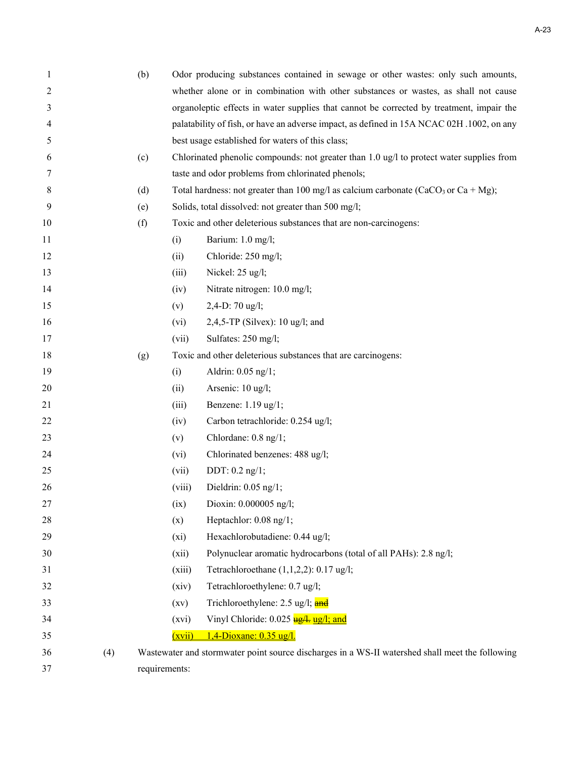| 1      |     | (b) | Odor producing substances contained in sewage or other wastes: only such amounts,         |                                                                                                 |  |
|--------|-----|-----|-------------------------------------------------------------------------------------------|-------------------------------------------------------------------------------------------------|--|
| 2      |     |     |                                                                                           | whether alone or in combination with other substances or wastes, as shall not cause             |  |
| 3      |     |     | organoleptic effects in water supplies that cannot be corrected by treatment, impair the  |                                                                                                 |  |
| 4      |     |     | palatability of fish, or have an adverse impact, as defined in 15A NCAC 02H .1002, on any |                                                                                                 |  |
| 5      |     |     | best usage established for waters of this class;                                          |                                                                                                 |  |
| 6      |     | (c) |                                                                                           | Chlorinated phenolic compounds: not greater than 1.0 ug/l to protect water supplies from        |  |
| 7      |     |     |                                                                                           | taste and odor problems from chlorinated phenols;                                               |  |
| 8      |     | (d) |                                                                                           | Total hardness: not greater than 100 mg/l as calcium carbonate (CaCO <sub>3</sub> or Ca + Mg);  |  |
| 9      |     | (e) |                                                                                           | Solids, total dissolved: not greater than 500 mg/l;                                             |  |
| 10     |     | (f) |                                                                                           | Toxic and other deleterious substances that are non-carcinogens:                                |  |
| 11     |     |     | (i)                                                                                       | Barium: 1.0 mg/l;                                                                               |  |
| 12     |     |     | (ii)                                                                                      | Chloride: 250 mg/l;                                                                             |  |
| 13     |     |     | (iii)                                                                                     | Nickel: 25 ug/l;                                                                                |  |
| 14     |     |     | (iv)                                                                                      | Nitrate nitrogen: 10.0 mg/l;                                                                    |  |
| 15     |     |     | (v)                                                                                       | 2,4-D: 70 ug/l;                                                                                 |  |
| 16     |     |     | (vi)                                                                                      | 2,4,5-TP (Silvex): 10 ug/l; and                                                                 |  |
| 17     |     |     | (vii)                                                                                     | Sulfates: 250 mg/l;                                                                             |  |
| 18     |     | (g) |                                                                                           | Toxic and other deleterious substances that are carcinogens:                                    |  |
| 19     |     |     | (i)                                                                                       | Aldrin: 0.05 ng/1;                                                                              |  |
| 20     |     |     | (ii)                                                                                      | Arsenic: 10 ug/l;                                                                               |  |
| 21     |     |     | (iii)                                                                                     | Benzene: 1.19 ug/1;                                                                             |  |
| 22     |     |     | (iv)                                                                                      | Carbon tetrachloride: 0.254 ug/l;                                                               |  |
| 23     |     |     | (v)                                                                                       | Chlordane: 0.8 ng/1;                                                                            |  |
| 24     |     |     | (vi)                                                                                      | Chlorinated benzenes: 488 ug/l;                                                                 |  |
| 25     |     |     | (vii)                                                                                     | DDT: $0.2$ ng/1;                                                                                |  |
| 26     |     |     | (viii)                                                                                    | Dieldrin: $0.05$ ng/1;                                                                          |  |
| 27     |     |     | (ix)                                                                                      | Dioxin: 0.000005 ng/l;                                                                          |  |
| $28\,$ |     |     | (x)                                                                                       | Heptachlor: 0.08 ng/1;                                                                          |  |
| 29     |     |     | $(x_i)$                                                                                   | Hexachlorobutadiene: 0.44 ug/l;                                                                 |  |
| 30     |     |     | (xii)                                                                                     | Polynuclear aromatic hydrocarbons (total of all PAHs): 2.8 ng/l;                                |  |
| 31     |     |     | (xiii)                                                                                    | Tetrachloroethane $(1,1,2,2)$ : 0.17 ug/l;                                                      |  |
| 32     |     |     | (xiv)                                                                                     | Tetrachloroethylene: 0.7 ug/l;                                                                  |  |
| 33     |     |     | $\left( xy\right)$                                                                        | Trichloroethylene: 2.5 ug/l; and                                                                |  |
| 34     |     |     | (xvi)                                                                                     | Vinyl Chloride: 0.025 ug/l; and                                                                 |  |
| 35     |     |     | (xvii)                                                                                    | 1,4-Dioxane: 0.35 ug/l.                                                                         |  |
| 36     | (4) |     |                                                                                           | Wastewater and stormwater point source discharges in a WS-II watershed shall meet the following |  |
| 37     |     |     | requirements:                                                                             |                                                                                                 |  |
|        |     |     |                                                                                           |                                                                                                 |  |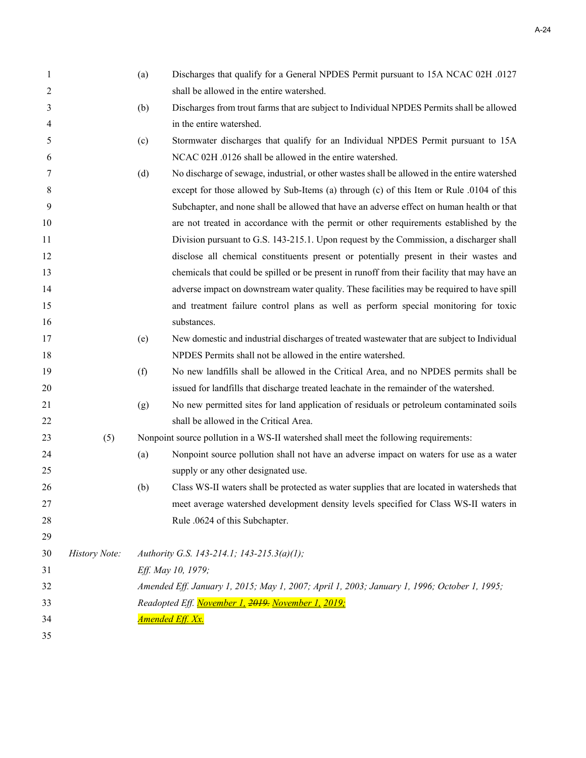| 1  |               | (a) | Discharges that qualify for a General NPDES Permit pursuant to 15A NCAC 02H .0127            |
|----|---------------|-----|----------------------------------------------------------------------------------------------|
| 2  |               |     | shall be allowed in the entire watershed.                                                    |
| 3  |               | (b) | Discharges from trout farms that are subject to Individual NPDES Permits shall be allowed    |
| 4  |               |     | in the entire watershed.                                                                     |
| 5  |               | (c) | Stormwater discharges that qualify for an Individual NPDES Permit pursuant to 15A            |
| 6  |               |     | NCAC 02H .0126 shall be allowed in the entire watershed.                                     |
| 7  |               | (d) | No discharge of sewage, industrial, or other wastes shall be allowed in the entire watershed |
| 8  |               |     | except for those allowed by Sub-Items (a) through (c) of this Item or Rule .0104 of this     |
| 9  |               |     | Subchapter, and none shall be allowed that have an adverse effect on human health or that    |
| 10 |               |     | are not treated in accordance with the permit or other requirements established by the       |
| 11 |               |     | Division pursuant to G.S. 143-215.1. Upon request by the Commission, a discharger shall      |
| 12 |               |     | disclose all chemical constituents present or potentially present in their wastes and        |
| 13 |               |     | chemicals that could be spilled or be present in runoff from their facility that may have an |
| 14 |               |     | adverse impact on downstream water quality. These facilities may be required to have spill   |
| 15 |               |     | and treatment failure control plans as well as perform special monitoring for toxic          |
| 16 |               |     | substances.                                                                                  |
| 17 |               | (e) | New domestic and industrial discharges of treated wastewater that are subject to Individual  |
| 18 |               |     | NPDES Permits shall not be allowed in the entire watershed.                                  |
| 19 |               | (f) | No new landfills shall be allowed in the Critical Area, and no NPDES permits shall be        |
| 20 |               |     | issued for landfills that discharge treated leachate in the remainder of the watershed.      |
| 21 |               | (g) | No new permitted sites for land application of residuals or petroleum contaminated soils     |
| 22 |               |     | shall be allowed in the Critical Area.                                                       |
| 23 | (5)           |     | Nonpoint source pollution in a WS-II watershed shall meet the following requirements:        |
| 24 |               | (a) | Nonpoint source pollution shall not have an adverse impact on waters for use as a water      |
| 25 |               |     | supply or any other designated use.                                                          |
| 26 |               | (b) | Class WS-II waters shall be protected as water supplies that are located in watersheds that  |
| 27 |               |     | meet average watershed development density levels specified for Class WS-II waters in        |
| 28 |               |     | Rule .0624 of this Subchapter.                                                               |
| 29 |               |     |                                                                                              |
| 30 | History Note: |     | Authority G.S. 143-214.1; 143-215.3(a)(1);                                                   |
| 31 |               |     | Eff. May 10, 1979;                                                                           |
| 32 |               |     | Amended Eff. January 1, 2015; May 1, 2007; April 1, 2003; January 1, 1996; October 1, 1995;  |
| 33 |               |     | Readopted Eff. November 1, 2019. November 1, 2019;                                           |
| 34 |               |     | <b>Amended Eff. Xx.</b>                                                                      |
| 35 |               |     |                                                                                              |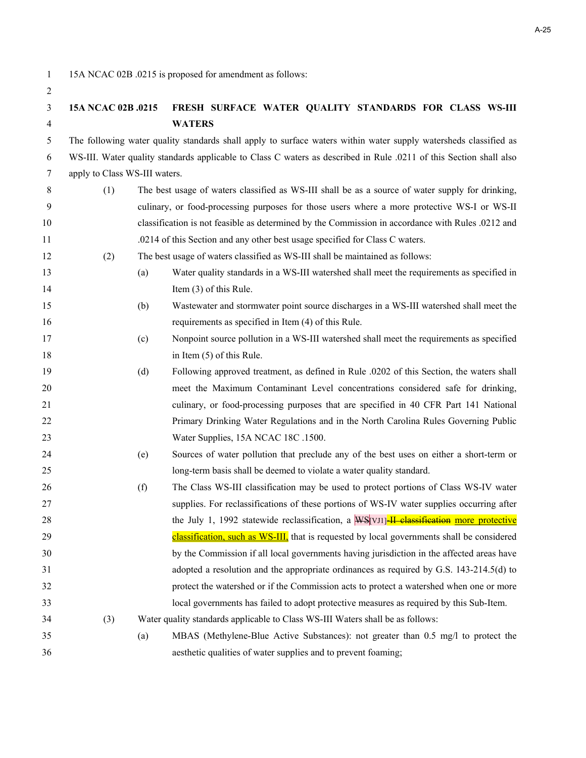1 15A NCAC 02B .0215 is proposed for amendment as follows:

### **15A NCAC 02B .0215 FRESH SURFACE WATER QUALITY STANDARDS FOR CLASS WS-III WATERS**

5 The following water quality standards shall apply to surface waters within water supply watersheds classified as 6 WS-III. Water quality standards applicable to Class C waters as described in Rule .0211 of this Section shall also 7 apply to Class WS-III waters.

- 8 (1) The best usage of waters classified as WS-III shall be as a source of water supply for drinking, 9 culinary, or food-processing purposes for those users where a more protective WS-I or WS-II classification is not feasible as determined by the Commission in accordance with Rules .0212 and .0214 of this Section and any other best usage specified for Class C waters.
- (2) The best usage of waters classified as WS-III shall be maintained as follows:
- (a) Water quality standards in a WS-III watershed shall meet the requirements as specified in 14 Item (3) of this Rule.
- (b) Wastewater and stormwater point source discharges in a WS-III watershed shall meet the requirements as specified in Item (4) of this Rule.
- (c) Nonpoint source pollution in a WS-III watershed shall meet the requirements as specified 18 in Item (5) of this Rule.
- (d) Following approved treatment, as defined in Rule .0202 of this Section, the waters shall meet the Maximum Contaminant Level concentrations considered safe for drinking, culinary, or food-processing purposes that are specified in 40 CFR Part 141 National Primary Drinking Water Regulations and in the North Carolina Rules Governing Public 23 Water Supplies, 15A NCAC 18C .1500.
- (e) Sources of water pollution that preclude any of the best uses on either a short-term or long-term basis shall be deemed to violate a water quality standard.
- (f) The Class WS-III classification may be used to protect portions of Class WS-IV water supplies. For reclassifications of these portions of WS-IV water supplies occurring after 28 the July 1, 1992 statewide reclassification, a WS[VJI]-IL classification more protective classification, such as WS-III, that is requested by local governments shall be considered by the Commission if all local governments having jurisdiction in the affected areas have adopted a resolution and the appropriate ordinances as required by G.S. 143-214.5(d) to protect the watershed or if the Commission acts to protect a watershed when one or more local governments has failed to adopt protective measures as required by this Sub-Item.
- (3) Water quality standards applicable to Class WS-III Waters shall be as follows:
- (a) MBAS (Methylene-Blue Active Substances): not greater than 0.5 mg/l to protect the aesthetic qualities of water supplies and to prevent foaming;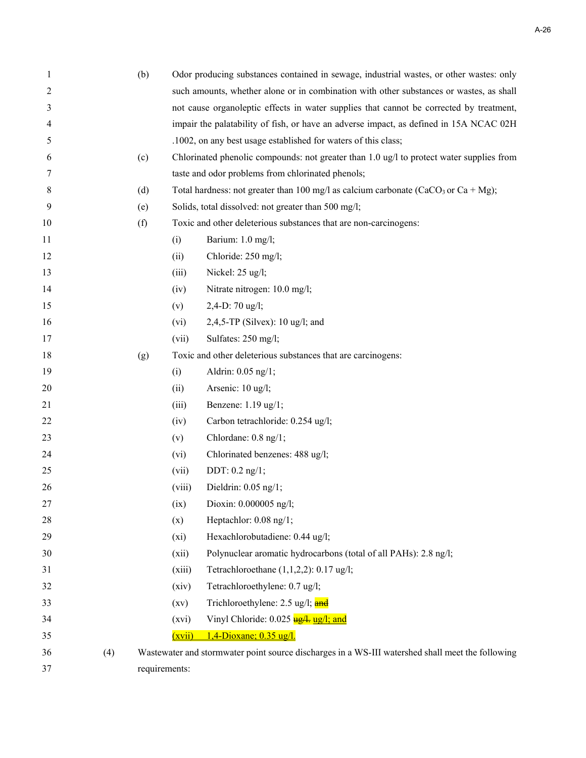| 1  |     | (b) | Odor producing substances contained in sewage, industrial wastes, or other wastes: only |                                                                                                  |  |  |
|----|-----|-----|-----------------------------------------------------------------------------------------|--------------------------------------------------------------------------------------------------|--|--|
| 2  |     |     | such amounts, whether alone or in combination with other substances or wastes, as shall |                                                                                                  |  |  |
| 3  |     |     | not cause organoleptic effects in water supplies that cannot be corrected by treatment, |                                                                                                  |  |  |
| 4  |     |     | impair the palatability of fish, or have an adverse impact, as defined in 15A NCAC 02H  |                                                                                                  |  |  |
| 5  |     |     | .1002, on any best usage established for waters of this class;                          |                                                                                                  |  |  |
| 6  |     | (c) |                                                                                         | Chlorinated phenolic compounds: not greater than 1.0 ug/l to protect water supplies from         |  |  |
| 7  |     |     |                                                                                         | taste and odor problems from chlorinated phenols;                                                |  |  |
| 8  |     | (d) |                                                                                         | Total hardness: not greater than 100 mg/l as calcium carbonate (CaCO <sub>3</sub> or Ca + Mg);   |  |  |
| 9  |     | (e) |                                                                                         | Solids, total dissolved: not greater than 500 mg/l;                                              |  |  |
| 10 |     | (f) |                                                                                         | Toxic and other deleterious substances that are non-carcinogens:                                 |  |  |
| 11 |     |     | (i)                                                                                     | Barium: 1.0 mg/l;                                                                                |  |  |
| 12 |     |     | (ii)                                                                                    | Chloride: 250 mg/l;                                                                              |  |  |
| 13 |     |     | (iii)                                                                                   | Nickel: 25 ug/l;                                                                                 |  |  |
| 14 |     |     | (iv)                                                                                    | Nitrate nitrogen: 10.0 mg/l;                                                                     |  |  |
| 15 |     |     | (v)                                                                                     | 2,4-D: 70 ug/l;                                                                                  |  |  |
| 16 |     |     | (vi)                                                                                    | 2,4,5-TP (Silvex): $10$ ug/l; and                                                                |  |  |
| 17 |     |     | (vii)                                                                                   | Sulfates: 250 mg/l;                                                                              |  |  |
| 18 |     | (g) |                                                                                         | Toxic and other deleterious substances that are carcinogens:                                     |  |  |
| 19 |     |     | (i)                                                                                     | Aldrin: 0.05 ng/1;                                                                               |  |  |
| 20 |     |     | (ii)                                                                                    | Arsenic: 10 ug/l;                                                                                |  |  |
| 21 |     |     | (iii)                                                                                   | Benzene: 1.19 ug/1;                                                                              |  |  |
| 22 |     |     | (iv)                                                                                    | Carbon tetrachloride: 0.254 ug/l;                                                                |  |  |
| 23 |     |     | (v)                                                                                     | Chlordane: 0.8 ng/1;                                                                             |  |  |
| 24 |     |     | (vi)                                                                                    | Chlorinated benzenes: 488 ug/l;                                                                  |  |  |
| 25 |     |     | (vii)                                                                                   | DDT: $0.2$ ng/1;                                                                                 |  |  |
| 26 |     |     | (viii)                                                                                  | Dieldrin: 0.05 ng/1;                                                                             |  |  |
| 27 |     |     | (ix)                                                                                    | Dioxin: 0.000005 ng/l;                                                                           |  |  |
| 28 |     |     | (x)                                                                                     | Heptachlor: 0.08 ng/1;                                                                           |  |  |
| 29 |     |     | $(x_i)$                                                                                 | Hexachlorobutadiene: 0.44 ug/l;                                                                  |  |  |
| 30 |     |     | (xii)                                                                                   | Polynuclear aromatic hydrocarbons (total of all PAHs): 2.8 ng/l;                                 |  |  |
| 31 |     |     | (xiii)                                                                                  | Tetrachloroethane $(1,1,2,2)$ : 0.17 ug/l;                                                       |  |  |
| 32 |     |     | (xiv)                                                                                   | Tetrachloroethylene: 0.7 ug/l;                                                                   |  |  |
| 33 |     |     | (xv)                                                                                    | Trichloroethylene: 2.5 ug/l; and                                                                 |  |  |
| 34 |     |     | (xvi)                                                                                   | Vinyl Chloride: 0.025 ug/l; and                                                                  |  |  |
| 35 |     |     | (xvii)                                                                                  | 1,4-Dioxane; 0.35 ug/l.                                                                          |  |  |
| 36 | (4) |     |                                                                                         | Wastewater and stormwater point source discharges in a WS-III watershed shall meet the following |  |  |
| 37 |     |     | requirements:                                                                           |                                                                                                  |  |  |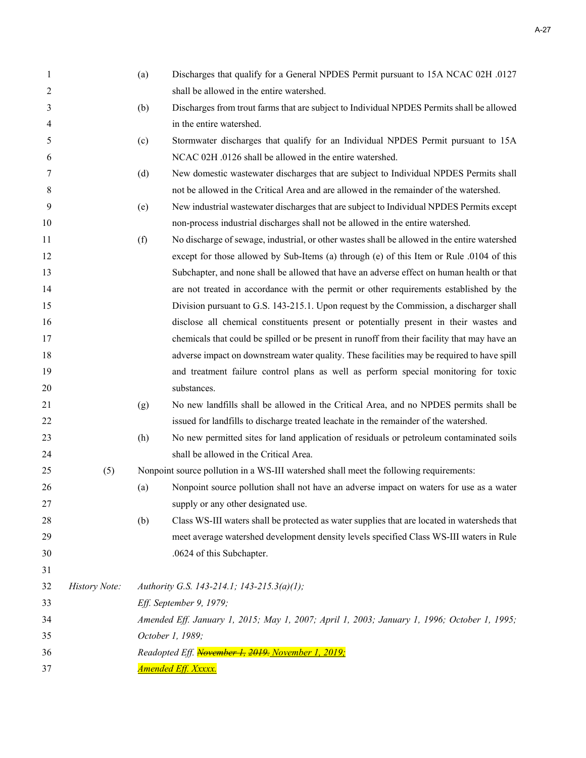| $\mathbf{1}$ |               | (a) | Discharges that qualify for a General NPDES Permit pursuant to 15A NCAC 02H .0127            |
|--------------|---------------|-----|----------------------------------------------------------------------------------------------|
| 2            |               |     | shall be allowed in the entire watershed.                                                    |
| 3            |               | (b) | Discharges from trout farms that are subject to Individual NPDES Permits shall be allowed    |
| 4            |               |     | in the entire watershed.                                                                     |
| 5            |               | (c) | Stormwater discharges that qualify for an Individual NPDES Permit pursuant to 15A            |
| 6            |               |     | NCAC 02H .0126 shall be allowed in the entire watershed.                                     |
| 7            |               | (d) | New domestic wastewater discharges that are subject to Individual NPDES Permits shall        |
| 8            |               |     | not be allowed in the Critical Area and are allowed in the remainder of the watershed.       |
| 9            |               | (e) | New industrial wastewater discharges that are subject to Individual NPDES Permits except     |
| 10           |               |     | non-process industrial discharges shall not be allowed in the entire watershed.              |
| 11           |               | (f) | No discharge of sewage, industrial, or other wastes shall be allowed in the entire watershed |
| 12           |               |     | except for those allowed by Sub-Items (a) through (e) of this Item or Rule .0104 of this     |
| 13           |               |     | Subchapter, and none shall be allowed that have an adverse effect on human health or that    |
| 14           |               |     | are not treated in accordance with the permit or other requirements established by the       |
| 15           |               |     | Division pursuant to G.S. 143-215.1. Upon request by the Commission, a discharger shall      |
| 16           |               |     | disclose all chemical constituents present or potentially present in their wastes and        |
| 17           |               |     | chemicals that could be spilled or be present in runoff from their facility that may have an |
| 18           |               |     | adverse impact on downstream water quality. These facilities may be required to have spill   |
| 19           |               |     | and treatment failure control plans as well as perform special monitoring for toxic          |
| 20           |               |     | substances.                                                                                  |
| 21           |               | (g) | No new landfills shall be allowed in the Critical Area, and no NPDES permits shall be        |
| 22           |               |     | issued for landfills to discharge treated leachate in the remainder of the watershed.        |
| 23           |               | (h) | No new permitted sites for land application of residuals or petroleum contaminated soils     |
| 24           |               |     | shall be allowed in the Critical Area.                                                       |
| 25           | (5)           |     | Nonpoint source pollution in a WS-III watershed shall meet the following requirements:       |
| 26           |               | (a) | Nonpoint source pollution shall not have an adverse impact on waters for use as a water      |
| 27           |               |     | supply or any other designated use.                                                          |
| 28           |               | (b) | Class WS-III waters shall be protected as water supplies that are located in watersheds that |
| 29           |               |     | meet average watershed development density levels specified Class WS-III waters in Rule      |
| 30           |               |     | .0624 of this Subchapter.                                                                    |
| 31           |               |     |                                                                                              |
| 32           | History Note: |     | Authority G.S. 143-214.1; 143-215.3(a)(1);                                                   |
| 33           |               |     | Eff. September 9, 1979;                                                                      |
| 34           |               |     | Amended Eff. January 1, 2015; May 1, 2007; April 1, 2003; January 1, 1996; October 1, 1995;  |
| 35           |               |     | October 1, 1989;                                                                             |
| 36           |               |     | Readopted Eff. November 1, 2019. November 1, 2019;                                           |
| 37           |               |     | <u>Amended Eff. Xxxxx.</u>                                                                   |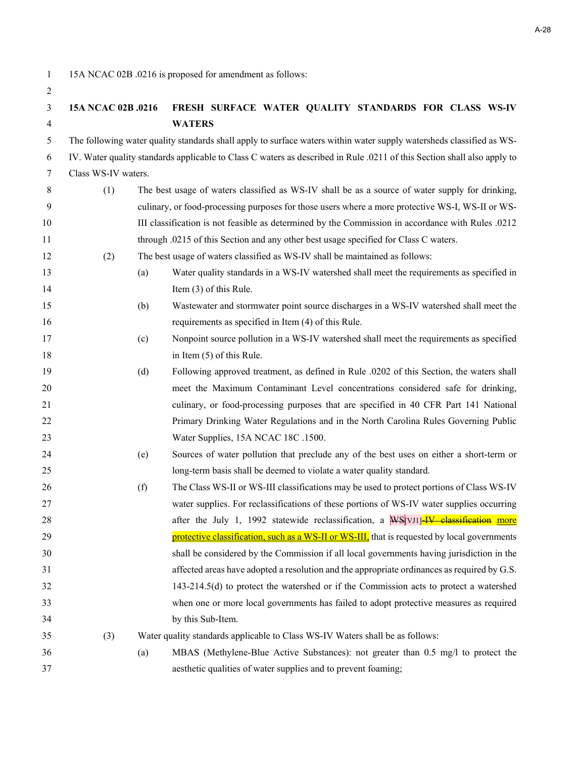1 15A NCAC 02B .0216 is proposed for amendment as follows:

| 15A NCAC 02B .0216 FRESH SURFACE WATER QUALITY STANDARDS FOR CLASS WS-IV |               |  |  |  |
|--------------------------------------------------------------------------|---------------|--|--|--|
|                                                                          | <b>WATERS</b> |  |  |  |

5 The following water quality standards shall apply to surface waters within water supply watersheds classified as WS-6 IV. Water quality standards applicable to Class C waters as described in Rule .0211 of this Section shall also apply to 7 Class WS-IV waters.

- 8 (1) The best usage of waters classified as WS-IV shall be as a source of water supply for drinking, 9 culinary, or food-processing purposes for those users where a more protective WS-I, WS-II or WS- III classification is not feasible as determined by the Commission in accordance with Rules .0212 through .0215 of this Section and any other best usage specified for Class C waters.
- (2) The best usage of waters classified as WS-IV shall be maintained as follows:
- (a) Water quality standards in a WS-IV watershed shall meet the requirements as specified in 14 Item (3) of this Rule.
- (b) Wastewater and stormwater point source discharges in a WS-IV watershed shall meet the requirements as specified in Item (4) of this Rule.
- (c) Nonpoint source pollution in a WS-IV watershed shall meet the requirements as specified 18 in Item (5) of this Rule.
- (d) Following approved treatment, as defined in Rule .0202 of this Section, the waters shall meet the Maximum Contaminant Level concentrations considered safe for drinking, culinary, or food-processing purposes that are specified in 40 CFR Part 141 National Primary Drinking Water Regulations and in the North Carolina Rules Governing Public 23 Water Supplies, 15A NCAC 18C .1500.
- (e) Sources of water pollution that preclude any of the best uses on either a short-term or long-term basis shall be deemed to violate a water quality standard.
- (f) The Class WS-II or WS-III classifications may be used to protect portions of Class WS-IV water supplies. For reclassifications of these portions of WS-IV water supplies occurring 28 after the July 1, 1992 statewide reclassification, a WS [VJ1] IV classification more **protective classification, such as a WS-II or WS-III**, that is requested by local governments shall be considered by the Commission if all local governments having jurisdiction in the affected areas have adopted a resolution and the appropriate ordinances as required by G.S. 143-214.5(d) to protect the watershed or if the Commission acts to protect a watershed when one or more local governments has failed to adopt protective measures as required by this Sub-Item.
- (3) Water quality standards applicable to Class WS-IV Waters shall be as follows:
- (a) MBAS (Methylene-Blue Active Substances): not greater than 0.5 mg/l to protect the aesthetic qualities of water supplies and to prevent foaming;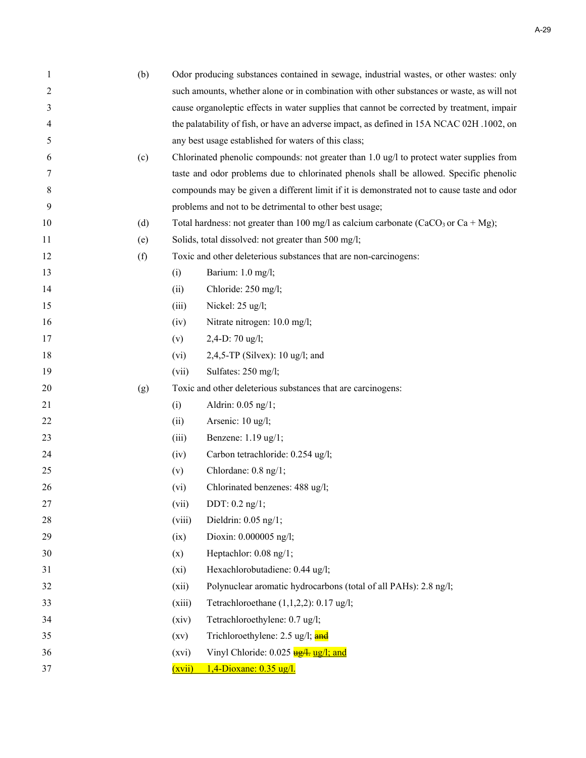| 1  | (b) |                                                                                           | Odor producing substances contained in sewage, industrial wastes, or other wastes: only        |  |  |  |
|----|-----|-------------------------------------------------------------------------------------------|------------------------------------------------------------------------------------------------|--|--|--|
| 2  |     | such amounts, whether alone or in combination with other substances or waste, as will not |                                                                                                |  |  |  |
| 3  |     |                                                                                           | cause organoleptic effects in water supplies that cannot be corrected by treatment, impair     |  |  |  |
| 4  |     |                                                                                           | the palatability of fish, or have an adverse impact, as defined in 15A NCAC 02H .1002, on      |  |  |  |
| 5  |     |                                                                                           | any best usage established for waters of this class;                                           |  |  |  |
| 6  | (c) |                                                                                           | Chlorinated phenolic compounds: not greater than 1.0 ug/l to protect water supplies from       |  |  |  |
| 7  |     |                                                                                           | taste and odor problems due to chlorinated phenols shall be allowed. Specific phenolic         |  |  |  |
| 8  |     |                                                                                           | compounds may be given a different limit if it is demonstrated not to cause taste and odor     |  |  |  |
| 9  |     |                                                                                           | problems and not to be detrimental to other best usage;                                        |  |  |  |
| 10 | (d) |                                                                                           | Total hardness: not greater than 100 mg/l as calcium carbonate (CaCO <sub>3</sub> or Ca + Mg); |  |  |  |
| 11 | (e) |                                                                                           | Solids, total dissolved: not greater than 500 mg/l;                                            |  |  |  |
| 12 | (f) |                                                                                           | Toxic and other deleterious substances that are non-carcinogens:                               |  |  |  |
| 13 |     | (i)                                                                                       | Barium: 1.0 mg/l;                                                                              |  |  |  |
| 14 |     | (ii)                                                                                      | Chloride: 250 mg/l;                                                                            |  |  |  |
| 15 |     | (iii)                                                                                     | Nickel: 25 ug/l;                                                                               |  |  |  |
| 16 |     | (iv)                                                                                      | Nitrate nitrogen: 10.0 mg/l;                                                                   |  |  |  |
| 17 |     | (v)                                                                                       | 2,4-D: 70 ug/l;                                                                                |  |  |  |
| 18 |     | (vi)                                                                                      | 2,4,5-TP (Silvex): $10$ ug/l; and                                                              |  |  |  |
| 19 |     | (vii)                                                                                     | Sulfates: 250 mg/l;                                                                            |  |  |  |
| 20 | (g) |                                                                                           | Toxic and other deleterious substances that are carcinogens:                                   |  |  |  |
| 21 |     | (i)                                                                                       | Aldrin: 0.05 ng/1;                                                                             |  |  |  |
| 22 |     | (ii)                                                                                      | Arsenic: 10 ug/l;                                                                              |  |  |  |
| 23 |     | (iii)                                                                                     | Benzene: 1.19 ug/1;                                                                            |  |  |  |
| 24 |     | (iv)                                                                                      | Carbon tetrachloride: 0.254 ug/l;                                                              |  |  |  |
| 25 |     | (v)                                                                                       | Chlordane: 0.8 ng/1;                                                                           |  |  |  |
| 26 |     | (vi)                                                                                      | Chlorinated benzenes: 488 ug/l;                                                                |  |  |  |
| 27 |     | (vii)                                                                                     | DDT: $0.2$ ng/1;                                                                               |  |  |  |
| 28 |     | (viii)                                                                                    | Dieldrin: $0.05$ ng/1;                                                                         |  |  |  |
| 29 |     | (ix)                                                                                      | Dioxin: 0.000005 ng/l;                                                                         |  |  |  |
| 30 |     | (x)                                                                                       | Heptachlor: 0.08 ng/1;                                                                         |  |  |  |
| 31 |     | $(x_i)$                                                                                   | Hexachlorobutadiene: 0.44 ug/l;                                                                |  |  |  |
| 32 |     | (xii)                                                                                     | Polynuclear aromatic hydrocarbons (total of all PAHs): 2.8 ng/l;                               |  |  |  |
| 33 |     | (xiii)                                                                                    | Tetrachloroethane $(1,1,2,2)$ : 0.17 ug/l;                                                     |  |  |  |
| 34 |     | (xiv)                                                                                     | Tetrachloroethylene: 0.7 ug/l;                                                                 |  |  |  |
| 35 |     | (xv)                                                                                      | Trichloroethylene: 2.5 ug/l; and                                                               |  |  |  |
| 36 |     | (xvi)                                                                                     | Vinyl Chloride: 0.025 ug/l; and                                                                |  |  |  |
| 37 |     | (xvii)                                                                                    | 1,4-Dioxane: 0.35 ug/l.                                                                        |  |  |  |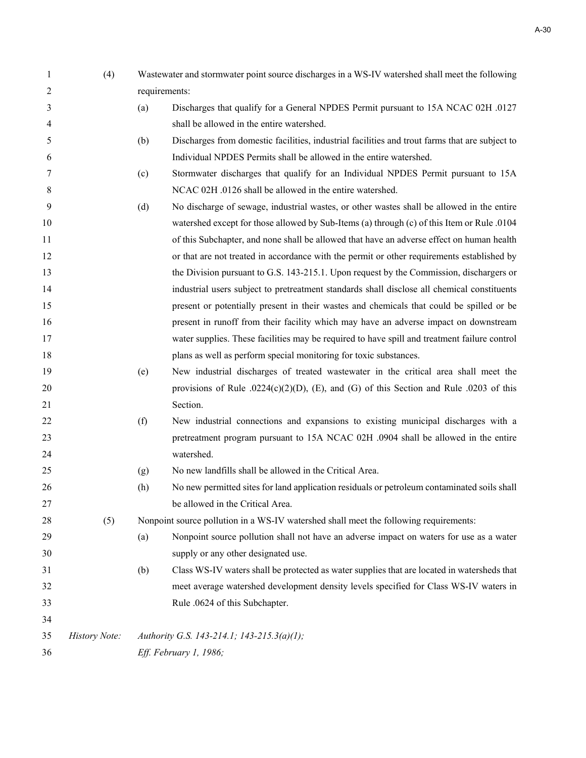| 1              | (4)           | Wastewater and stormwater point source discharges in a WS-IV watershed shall meet the following |                                                                                                |  |
|----------------|---------------|-------------------------------------------------------------------------------------------------|------------------------------------------------------------------------------------------------|--|
| $\overline{2}$ |               | requirements:                                                                                   |                                                                                                |  |
| 3              |               | (a)                                                                                             | Discharges that qualify for a General NPDES Permit pursuant to 15A NCAC 02H .0127              |  |
| 4              |               |                                                                                                 | shall be allowed in the entire watershed.                                                      |  |
| 5              |               | (b)                                                                                             | Discharges from domestic facilities, industrial facilities and trout farms that are subject to |  |
| 6              |               |                                                                                                 | Individual NPDES Permits shall be allowed in the entire watershed.                             |  |
| 7              |               | (c)                                                                                             | Stormwater discharges that qualify for an Individual NPDES Permit pursuant to 15A              |  |
| 8              |               |                                                                                                 | NCAC 02H .0126 shall be allowed in the entire watershed.                                       |  |
| 9              |               | (d)                                                                                             | No discharge of sewage, industrial wastes, or other wastes shall be allowed in the entire      |  |
| 10             |               |                                                                                                 | watershed except for those allowed by Sub-Items (a) through (c) of this Item or Rule .0104     |  |
| 11             |               |                                                                                                 | of this Subchapter, and none shall be allowed that have an adverse effect on human health      |  |
| 12             |               |                                                                                                 | or that are not treated in accordance with the permit or other requirements established by     |  |
| 13             |               |                                                                                                 | the Division pursuant to G.S. 143-215.1. Upon request by the Commission, dischargers or        |  |
| 14             |               |                                                                                                 | industrial users subject to pretreatment standards shall disclose all chemical constituents    |  |
| 15             |               |                                                                                                 | present or potentially present in their wastes and chemicals that could be spilled or be       |  |
| 16             |               |                                                                                                 | present in runoff from their facility which may have an adverse impact on downstream           |  |
| 17             |               |                                                                                                 | water supplies. These facilities may be required to have spill and treatment failure control   |  |
| 18             |               |                                                                                                 | plans as well as perform special monitoring for toxic substances.                              |  |
| 19             |               | (e)                                                                                             | New industrial discharges of treated wastewater in the critical area shall meet the            |  |
| 20             |               |                                                                                                 | provisions of Rule .0224(c)(2)(D), (E), and (G) of this Section and Rule .0203 of this         |  |
| 21             |               |                                                                                                 | Section.                                                                                       |  |
| 22             |               | (f)                                                                                             | New industrial connections and expansions to existing municipal discharges with a              |  |
| 23             |               |                                                                                                 | pretreatment program pursuant to 15A NCAC 02H .0904 shall be allowed in the entire             |  |
| 24             |               |                                                                                                 | watershed.                                                                                     |  |
| 25             |               | (g)                                                                                             | No new landfills shall be allowed in the Critical Area.                                        |  |
| 26             |               | (h)                                                                                             | No new permitted sites for land application residuals or petroleum contaminated soils shall    |  |
| 27             |               |                                                                                                 | be allowed in the Critical Area.                                                               |  |
| 28             | (5)           | Nonpoint source pollution in a WS-IV watershed shall meet the following requirements:           |                                                                                                |  |
| 29             |               | (a)                                                                                             | Nonpoint source pollution shall not have an adverse impact on waters for use as a water        |  |
| 30             |               |                                                                                                 | supply or any other designated use.                                                            |  |
| 31             |               | (b)                                                                                             | Class WS-IV waters shall be protected as water supplies that are located in watersheds that    |  |
| 32             |               |                                                                                                 | meet average watershed development density levels specified for Class WS-IV waters in          |  |
| 33             |               |                                                                                                 | Rule .0624 of this Subchapter.                                                                 |  |
| 34             |               |                                                                                                 |                                                                                                |  |
| 35             | History Note: |                                                                                                 | Authority G.S. 143-214.1; 143-215.3(a)(1);                                                     |  |
| 36             |               |                                                                                                 | Eff. February 1, 1986;                                                                         |  |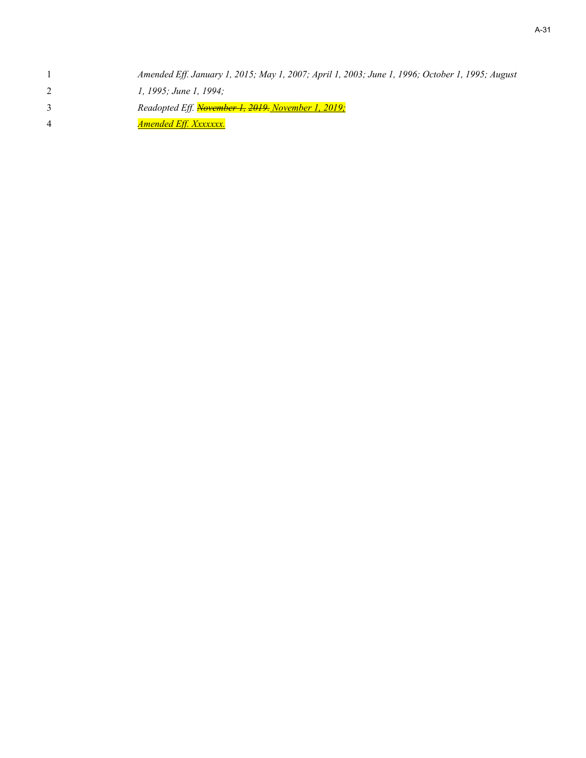|   | Amended Eff. January 1, 2015; May 1, 2007; April 1, 2003; June 1, 1996; October 1, 1995; August |
|---|-------------------------------------------------------------------------------------------------|
|   | 1, 1995; June 1, 1994;                                                                          |
|   | Readopted Eff. November 1, 2019. November 1, 2019;                                              |
| 4 | <u>Amended Eff. Xxxxxxx.</u>                                                                    |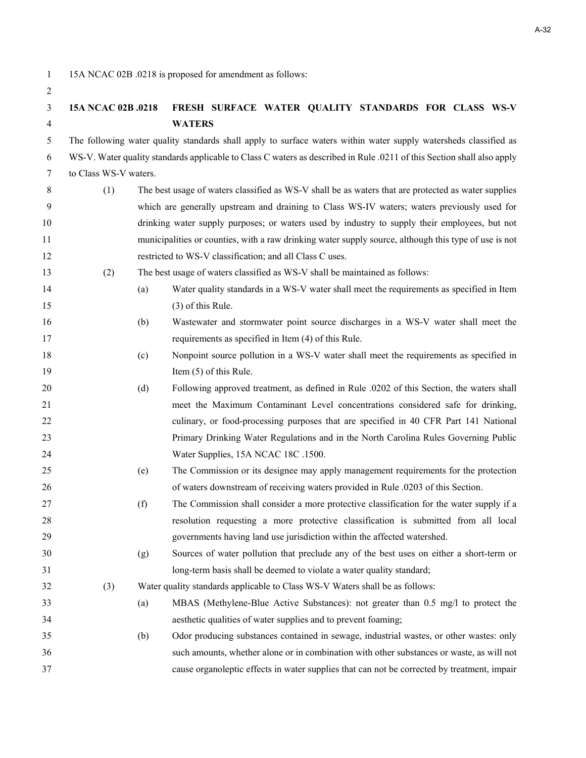1 15A NCAC 02B .0218 is proposed for amendment as follows:

# **15A NCAC 02B .0218 FRESH SURFACE WATER QUALITY STANDARDS FOR CLASS WS-V WATERS**

5 The following water quality standards shall apply to surface waters within water supply watersheds classified as 6 WS-V. Water quality standards applicable to Class C waters as described in Rule .0211 of this Section shall also apply 7 to Class WS-V waters.

- 8 (1) The best usage of waters classified as WS-V shall be as waters that are protected as water supplies 9 which are generally upstream and draining to Class WS-IV waters; waters previously used for drinking water supply purposes; or waters used by industry to supply their employees, but not municipalities or counties, with a raw drinking water supply source, although this type of use is not restricted to WS-V classification; and all Class C uses.
- (2) The best usage of waters classified as WS-V shall be maintained as follows:
- (a) Water quality standards in a WS-V water shall meet the requirements as specified in Item (3) of this Rule.
- (b) Wastewater and stormwater point source discharges in a WS-V water shall meet the requirements as specified in Item (4) of this Rule.
- (c) Nonpoint source pollution in a WS-V water shall meet the requirements as specified in 19 Item (5) of this Rule.
- (d) Following approved treatment, as defined in Rule .0202 of this Section, the waters shall meet the Maximum Contaminant Level concentrations considered safe for drinking, 22 culinary, or food-processing purposes that are specified in 40 CFR Part 141 National Primary Drinking Water Regulations and in the North Carolina Rules Governing Public 24 Water Supplies, 15A NCAC 18C .1500.
- (e) The Commission or its designee may apply management requirements for the protection of waters downstream of receiving waters provided in Rule .0203 of this Section.
- (f) The Commission shall consider a more protective classification for the water supply if a resolution requesting a more protective classification is submitted from all local governments having land use jurisdiction within the affected watershed.
- (g) Sources of water pollution that preclude any of the best uses on either a short-term or long-term basis shall be deemed to violate a water quality standard;
- (3) Water quality standards applicable to Class WS-V Waters shall be as follows:
- (a) MBAS (Methylene-Blue Active Substances): not greater than 0.5 mg/l to protect the aesthetic qualities of water supplies and to prevent foaming;
- (b) Odor producing substances contained in sewage, industrial wastes, or other wastes: only such amounts, whether alone or in combination with other substances or waste, as will not cause organoleptic effects in water supplies that can not be corrected by treatment, impair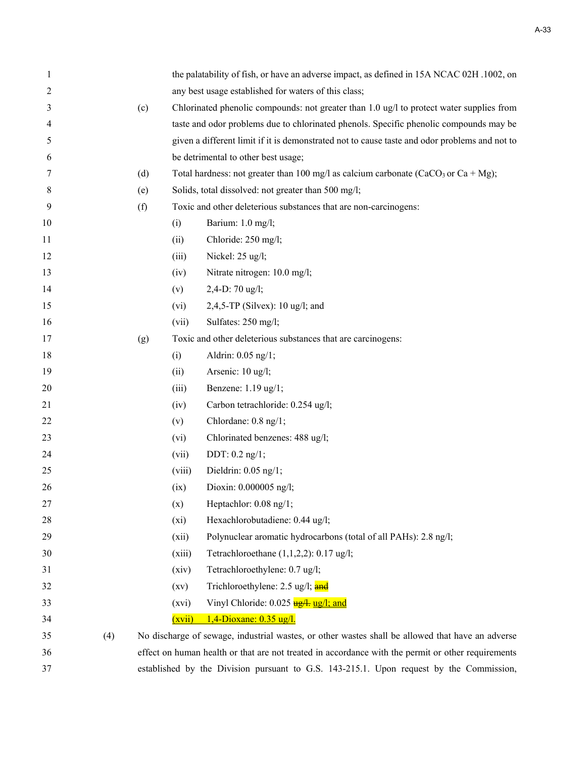| 1  |     |     |         | the palatability of fish, or have an adverse impact, as defined in 15A NCAC 02H .1002, on          |
|----|-----|-----|---------|----------------------------------------------------------------------------------------------------|
| 2  |     |     |         | any best usage established for waters of this class;                                               |
| 3  |     | (c) |         | Chlorinated phenolic compounds: not greater than $1.0 \text{ ug/l}$ to protect water supplies from |
| 4  |     |     |         | taste and odor problems due to chlorinated phenols. Specific phenolic compounds may be             |
| 5  |     |     |         | given a different limit if it is demonstrated not to cause taste and odor problems and not to      |
| 6  |     |     |         | be detrimental to other best usage;                                                                |
| 7  |     | (d) |         | Total hardness: not greater than 100 mg/l as calcium carbonate (CaCO <sub>3</sub> or Ca + Mg);     |
| 8  |     | (e) |         | Solids, total dissolved: not greater than 500 mg/l;                                                |
| 9  |     | (f) |         | Toxic and other deleterious substances that are non-carcinogens:                                   |
| 10 |     |     | (i)     | Barium: 1.0 mg/l;                                                                                  |
| 11 |     |     | (ii)    | Chloride: 250 mg/l;                                                                                |
| 12 |     |     | (iii)   | Nickel: 25 ug/l;                                                                                   |
| 13 |     |     | (iv)    | Nitrate nitrogen: 10.0 mg/l;                                                                       |
| 14 |     |     | (v)     | 2,4-D: 70 ug/l;                                                                                    |
| 15 |     |     | (vi)    | 2,4,5-TP (Silvex): $10 \text{ ug/l}$ ; and                                                         |
| 16 |     |     | (vii)   | Sulfates: 250 mg/l;                                                                                |
| 17 |     | (g) |         | Toxic and other deleterious substances that are carcinogens:                                       |
| 18 |     |     | (i)     | Aldrin: 0.05 ng/1;                                                                                 |
| 19 |     |     | (ii)    | Arsenic: 10 ug/l;                                                                                  |
| 20 |     |     | (iii)   | Benzene: 1.19 ug/1;                                                                                |
| 21 |     |     | (iv)    | Carbon tetrachloride: 0.254 ug/l;                                                                  |
| 22 |     |     | (v)     | Chlordane: 0.8 ng/1;                                                                               |
| 23 |     |     | (vi)    | Chlorinated benzenes: 488 ug/l;                                                                    |
| 24 |     |     | (vii)   | DDT: $0.2$ ng/1;                                                                                   |
| 25 |     |     | (viii)  | Dieldrin: $0.05$ ng/1;                                                                             |
| 26 |     |     | (ix)    | Dioxin: 0.000005 ng/l;                                                                             |
| 27 |     |     | (x)     | Heptachlor: 0.08 ng/1;                                                                             |
| 28 |     |     | $(x_i)$ | Hexachlorobutadiene: 0.44 ug/l;                                                                    |
| 29 |     |     | (xii)   | Polynuclear aromatic hydrocarbons (total of all PAHs): 2.8 ng/l;                                   |
| 30 |     |     | (xiii)  | Tetrachloroethane $(1,1,2,2)$ : 0.17 ug/l;                                                         |
| 31 |     |     | (xiv)   | Tetrachloroethylene: 0.7 ug/l;                                                                     |
| 32 |     |     | (xv)    | Trichloroethylene: 2.5 ug/l; and                                                                   |
| 33 |     |     | (xvi)   | Vinyl Chloride: 0.025 ug/l; and                                                                    |
| 34 |     |     | (xvii)  | $1,4$ -Dioxane: 0.35 ug/l.                                                                         |
| 35 | (4) |     |         | No discharge of sewage, industrial wastes, or other wastes shall be allowed that have an adverse   |
| 36 |     |     |         | effect on human health or that are not treated in accordance with the permit or other requirements |
| 37 |     |     |         | established by the Division pursuant to G.S. 143-215.1. Upon request by the Commission,            |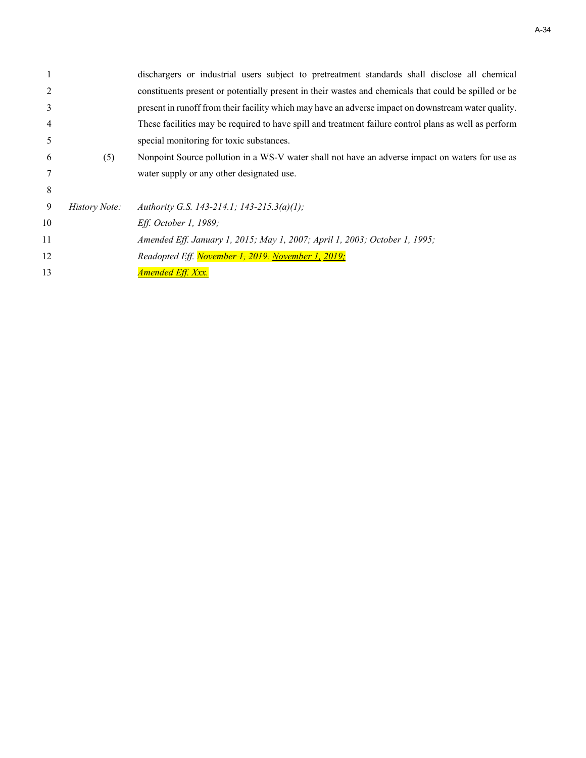|    |               | dischargers or industrial users subject to pretreatment standards shall disclose all chemical         |
|----|---------------|-------------------------------------------------------------------------------------------------------|
|    |               | constituents present or potentially present in their wastes and chemicals that could be spilled or be |
| 3  |               | present in runoff from their facility which may have an adverse impact on downstream water quality.   |
| 4  |               | These facilities may be required to have spill and treatment failure control plans as well as perform |
| 5  |               | special monitoring for toxic substances.                                                              |
| 6  | (5)           | Nonpoint Source pollution in a WS-V water shall not have an adverse impact on waters for use as       |
|    |               | water supply or any other designated use.                                                             |
| 8  |               |                                                                                                       |
| 9  | History Note: | Authority G.S. 143-214.1; 143-215.3(a)(1);                                                            |
| 10 |               | Eff. October 1, 1989;                                                                                 |
| 11 |               | Amended Eff. January 1, 2015; May 1, 2007; April 1, 2003; October 1, 1995;                            |
| 12 |               | Readopted Eff. November 1, 2019. November 1, 2019;                                                    |
| 13 |               | <b>Amended Eff. Xxx.</b>                                                                              |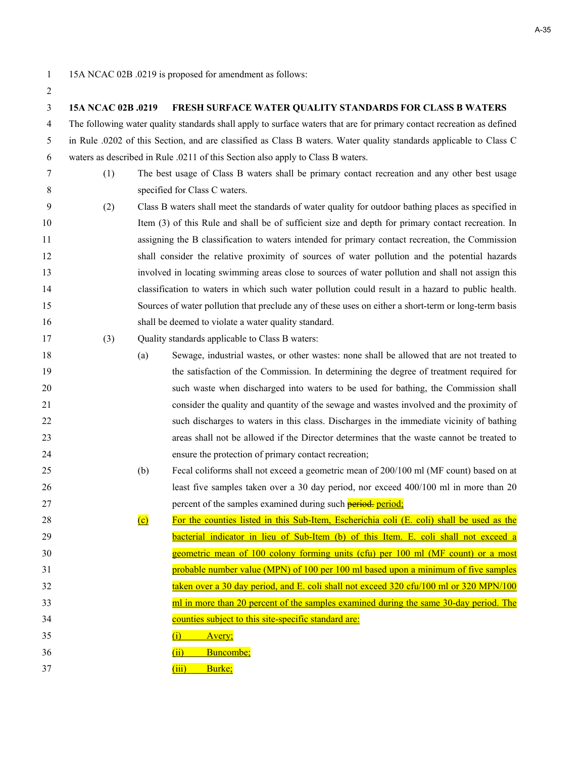| 15A NCAC 02B .0219 is proposed for amendment as follows: |  |
|----------------------------------------------------------|--|
|----------------------------------------------------------|--|

| $\overline{2}$ |                    |                   |                                                                                                                        |
|----------------|--------------------|-------------------|------------------------------------------------------------------------------------------------------------------------|
| 3              | 15A NCAC 02B .0219 |                   | FRESH SURFACE WATER QUALITY STANDARDS FOR CLASS B WATERS                                                               |
| $\overline{4}$ |                    |                   | The following water quality standards shall apply to surface waters that are for primary contact recreation as defined |
| 5              |                    |                   | in Rule .0202 of this Section, and are classified as Class B waters. Water quality standards applicable to Class C     |
| 6              |                    |                   | waters as described in Rule .0211 of this Section also apply to Class B waters.                                        |
| 7              | (1)                |                   | The best usage of Class B waters shall be primary contact recreation and any other best usage                          |
| 8              |                    |                   | specified for Class C waters.                                                                                          |
| 9              | (2)                |                   | Class B waters shall meet the standards of water quality for outdoor bathing places as specified in                    |
| 10             |                    |                   | Item (3) of this Rule and shall be of sufficient size and depth for primary contact recreation. In                     |
| 11             |                    |                   | assigning the B classification to waters intended for primary contact recreation, the Commission                       |
| 12             |                    |                   | shall consider the relative proximity of sources of water pollution and the potential hazards                          |
| 13             |                    |                   | involved in locating swimming areas close to sources of water pollution and shall not assign this                      |
| 14             |                    |                   | classification to waters in which such water pollution could result in a hazard to public health.                      |
| 15             |                    |                   | Sources of water pollution that preclude any of these uses on either a short-term or long-term basis                   |
| 16             |                    |                   | shall be deemed to violate a water quality standard.                                                                   |
| 17             | (3)                |                   | Quality standards applicable to Class B waters:                                                                        |
| 18             |                    | (a)               | Sewage, industrial wastes, or other wastes: none shall be allowed that are not treated to                              |
| 19             |                    |                   | the satisfaction of the Commission. In determining the degree of treatment required for                                |
| 20             |                    |                   | such waste when discharged into waters to be used for bathing, the Commission shall                                    |
| 21             |                    |                   | consider the quality and quantity of the sewage and wastes involved and the proximity of                               |
| 22             |                    |                   | such discharges to waters in this class. Discharges in the immediate vicinity of bathing                               |
| 23             |                    |                   | areas shall not be allowed if the Director determines that the waste cannot be treated to                              |
| 24             |                    |                   | ensure the protection of primary contact recreation;                                                                   |
| 25             |                    | (b)               | Fecal coliforms shall not exceed a geometric mean of 200/100 ml (MF count) based on at                                 |
| 26             |                    |                   | least five samples taken over a 30 day period, nor exceed 400/100 ml in more than 20                                   |
| 27             |                    |                   | percent of the samples examined during such <b>period</b> , period;                                                    |
| 28             |                    | $\left( c\right)$ | For the counties listed in this Sub-Item, Escherichia coli (E. coli) shall be used as the                              |
| 29             |                    |                   | bacterial indicator in lieu of Sub-Item (b) of this Item. E. coli shall not exceed a                                   |
| 30             |                    |                   | geometric mean of 100 colony forming units (cfu) per 100 ml (MF count) or a most                                       |
| 31             |                    |                   | probable number value (MPN) of 100 per 100 ml based upon a minimum of five samples                                     |
| 32             |                    |                   | taken over a 30 day period, and E. coli shall not exceed 320 cfu/100 ml or 320 MPN/100                                 |
| 33             |                    |                   | ml in more than 20 percent of the samples examined during the same 30-day period. The                                  |
| 34             |                    |                   | counties subject to this site-specific standard are:                                                                   |
| 35             |                    |                   | Avery;<br>(i)                                                                                                          |
| 36             |                    |                   | Buncombe;<br>(ii)                                                                                                      |
| 37             |                    |                   | Burke;<br>(iii)                                                                                                        |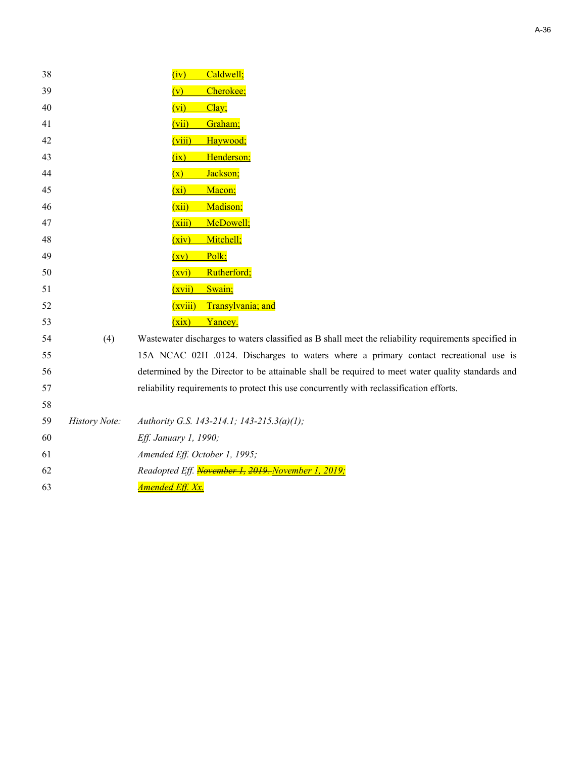| 38 |               | Caldwell;<br>(iv)                                                                                    |
|----|---------------|------------------------------------------------------------------------------------------------------|
| 39 |               | Cherokee;<br>(v)                                                                                     |
| 40 |               | (vi)<br>Clay;                                                                                        |
| 41 |               | Graham;<br>(vii)                                                                                     |
| 42 |               | (viii)<br>Haywood;                                                                                   |
| 43 |               | Henderson;<br>(ix)                                                                                   |
| 44 |               | Jackson;<br>(x)                                                                                      |
| 45 |               | $(x_i)$<br>Macon;                                                                                    |
| 46 |               | Madison;<br>(xii)                                                                                    |
| 47 |               | McDowell;<br>(xiii)                                                                                  |
| 48 |               | Mitchell;<br>(xiv)                                                                                   |
| 49 |               | Polk;<br>(xv)                                                                                        |
| 50 |               | Rutherford;<br>(xvi)                                                                                 |
| 51 |               | Swain;<br>(xvii)                                                                                     |
| 52 |               | (xviii)<br>Transylvania; and                                                                         |
| 53 |               | (xix)<br>Yancey.                                                                                     |
| 54 | (4)           | Wastewater discharges to waters classified as B shall meet the reliability requirements specified in |
| 55 |               | 15A NCAC 02H .0124. Discharges to waters where a primary contact recreational use is                 |
| 56 |               | determined by the Director to be attainable shall be required to meet water quality standards and    |
| 57 |               | reliability requirements to protect this use concurrently with reclassification efforts.             |
| 58 |               |                                                                                                      |
| 59 | History Note: | Authority G.S. 143-214.1; 143-215.3(a)(1);                                                           |
| 60 |               | Eff. January 1, 1990;                                                                                |
| 61 |               | Amended Eff. October 1, 1995;                                                                        |
| 62 |               | Readopted Eff. November 1, 2019. November 1, 2019;                                                   |
| 63 |               | <u>Amended Eff. Xx.</u>                                                                              |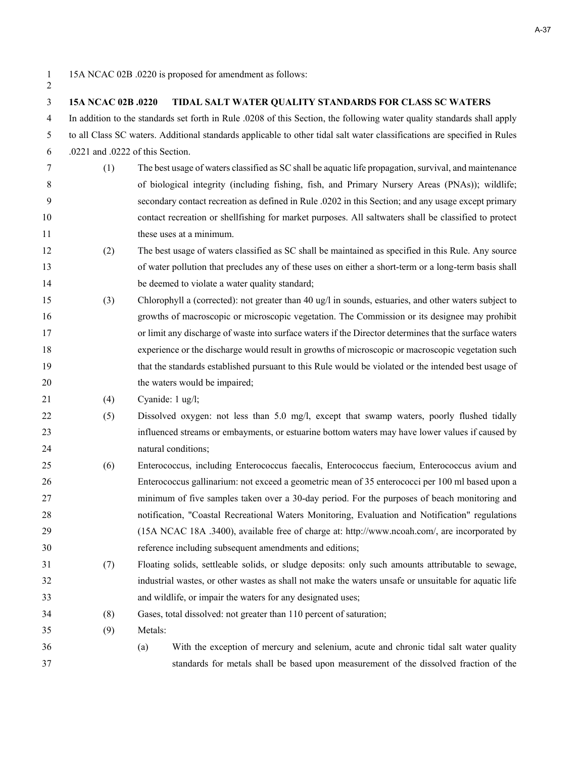1 15A NCAC 02B .0220 is proposed for amendment as follows:

# **15A NCAC 02B .0220 TIDAL SALT WATER QUALITY STANDARDS FOR CLASS SC WATERS** 4 In addition to the standards set forth in Rule .0208 of this Section, the following water quality standards shall apply 5 to all Class SC waters. Additional standards applicable to other tidal salt water classifications are specified in Rules 6 .0221 and .0222 of this Section. 7 (1) The best usage of waters classified as SC shall be aquatic life propagation, survival, and maintenance 8 of biological integrity (including fishing, fish, and Primary Nursery Areas (PNAs)); wildlife; 9 secondary contact recreation as defined in Rule .0202 in this Section; and any usage except primary contact recreation or shellfishing for market purposes. All saltwaters shall be classified to protect 11 these uses at a minimum. (2) The best usage of waters classified as SC shall be maintained as specified in this Rule. Any source of water pollution that precludes any of these uses on either a short-term or a long-term basis shall 14 be deemed to violate a water quality standard; (3) Chlorophyll a (corrected): not greater than 40 ug/l in sounds, estuaries, and other waters subject to growths of macroscopic or microscopic vegetation. The Commission or its designee may prohibit or limit any discharge of waste into surface waters if the Director determines that the surface waters experience or the discharge would result in growths of microscopic or macroscopic vegetation such that the standards established pursuant to this Rule would be violated or the intended best usage of 20 the waters would be impaired; (4) Cyanide: 1 ug/l; (5) Dissolved oxygen: not less than 5.0 mg/l, except that swamp waters, poorly flushed tidally influenced streams or embayments, or estuarine bottom waters may have lower values if caused by natural conditions; (6) Enterococcus, including Enterococcus faecalis, Enterococcus faecium, Enterococcus avium and Enterococcus gallinarium: not exceed a geometric mean of 35 enterococci per 100 ml based upon a minimum of five samples taken over a 30-day period. For the purposes of beach monitoring and notification, "Coastal Recreational Waters Monitoring, Evaluation and Notification" regulations (15A NCAC 18A .3400), available free of charge at: http://www.ncoah.com/, are incorporated by reference including subsequent amendments and editions; (7) Floating solids, settleable solids, or sludge deposits: only such amounts attributable to sewage, industrial wastes, or other wastes as shall not make the waters unsafe or unsuitable for aquatic life and wildlife, or impair the waters for any designated uses; (8) Gases, total dissolved: not greater than 110 percent of saturation; (9) Metals: (a) With the exception of mercury and selenium, acute and chronic tidal salt water quality standards for metals shall be based upon measurement of the dissolved fraction of the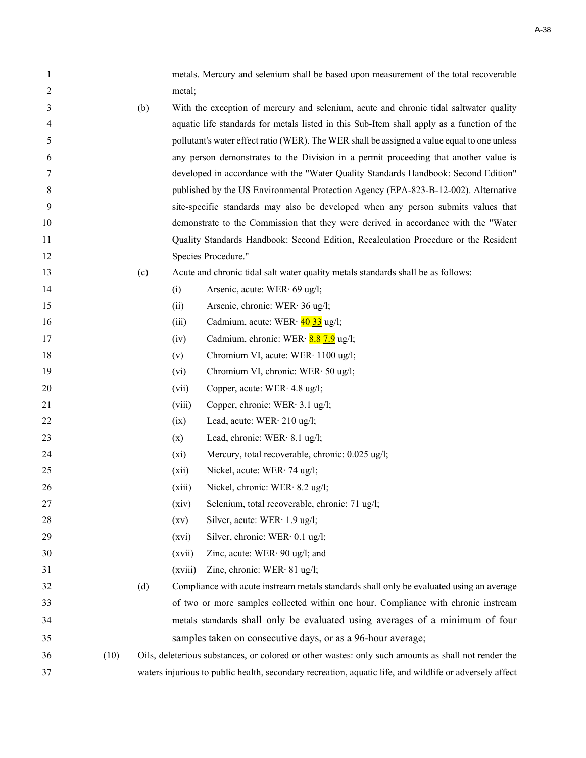| 1  |      |     |         | metals. Mercury and selenium shall be based upon measurement of the total recoverable                   |
|----|------|-----|---------|---------------------------------------------------------------------------------------------------------|
| 2  |      |     | metal;  |                                                                                                         |
| 3  |      | (b) |         | With the exception of mercury and selenium, acute and chronic tidal saltwater quality                   |
| 4  |      |     |         | aquatic life standards for metals listed in this Sub-Item shall apply as a function of the              |
| 5  |      |     |         | pollutant's water effect ratio (WER). The WER shall be assigned a value equal to one unless             |
| 6  |      |     |         | any person demonstrates to the Division in a permit proceeding that another value is                    |
| 7  |      |     |         | developed in accordance with the "Water Quality Standards Handbook: Second Edition"                     |
| 8  |      |     |         | published by the US Environmental Protection Agency (EPA-823-B-12-002). Alternative                     |
| 9  |      |     |         | site-specific standards may also be developed when any person submits values that                       |
| 10 |      |     |         | demonstrate to the Commission that they were derived in accordance with the "Water                      |
| 11 |      |     |         | Quality Standards Handbook: Second Edition, Recalculation Procedure or the Resident                     |
| 12 |      |     |         | Species Procedure."                                                                                     |
| 13 |      | (c) |         | Acute and chronic tidal salt water quality metals standards shall be as follows:                        |
| 14 |      |     | (i)     | Arsenic, acute: WER· 69 ug/l;                                                                           |
| 15 |      |     | (ii)    | Arsenic, chronic: WER· 36 ug/l;                                                                         |
| 16 |      |     | (iii)   | Cadmium, acute: WER $\cdot \frac{4033}{33}$ ug/l;                                                       |
| 17 |      |     | (iv)    | Cadmium, chronic: WER· 8.8 7.9 ug/l;                                                                    |
| 18 |      |     | (v)     | Chromium VI, acute: WER· 1100 ug/l;                                                                     |
| 19 |      |     | (vi)    | Chromium VI, chronic: WER· 50 ug/l;                                                                     |
| 20 |      |     | (vii)   | Copper, acute: WER· 4.8 ug/l;                                                                           |
| 21 |      |     | (viii)  | Copper, chronic: WER· 3.1 ug/l;                                                                         |
| 22 |      |     | (ix)    | Lead, acute: $WER \cdot 210$ ug/l;                                                                      |
| 23 |      |     | (x)     | Lead, chronic: WER $·$ 8.1 ug/l;                                                                        |
| 24 |      |     | $(x_i)$ | Mercury, total recoverable, chronic: 0.025 ug/l;                                                        |
| 25 |      |     | (xii)   | Nickel, acute: WER· 74 ug/l;                                                                            |
| 26 |      |     | (xiii)  | Nickel, chronic: WER· 8.2 ug/l;                                                                         |
| 27 |      |     | (xiv)   | Selenium, total recoverable, chronic: 71 ug/l;                                                          |
| 28 |      |     | (xv)    | Silver, acute: WER· 1.9 ug/l;                                                                           |
| 29 |      |     | (xvi)   | Silver, chronic: WER· 0.1 ug/l;                                                                         |
| 30 |      |     | (xvii)  | Zinc, acute: $WER \cdot 90$ ug/l; and                                                                   |
| 31 |      |     | (xviii) | Zinc, chronic: WER· 81 ug/l;                                                                            |
| 32 |      | (d) |         | Compliance with acute instream metals standards shall only be evaluated using an average                |
| 33 |      |     |         | of two or more samples collected within one hour. Compliance with chronic instream                      |
| 34 |      |     |         | metals standards shall only be evaluated using averages of a minimum of four                            |
| 35 |      |     |         | samples taken on consecutive days, or as a 96-hour average;                                             |
| 36 | (10) |     |         | Oils, deleterious substances, or colored or other wastes: only such amounts as shall not render the     |
| 37 |      |     |         | waters injurious to public health, secondary recreation, aquatic life, and wildlife or adversely affect |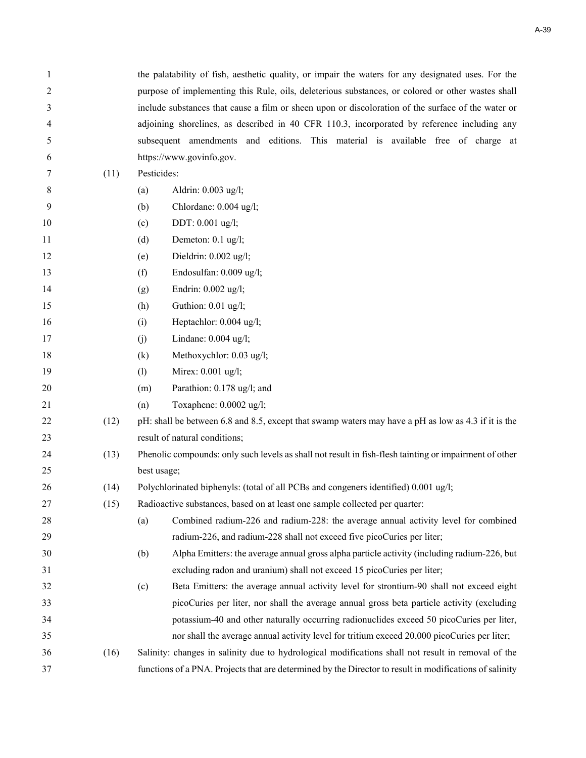| 1  |      | the palatability of fish, aesthetic quality, or impair the waters for any designated uses. For the      |  |  |  |  |  |  |
|----|------|---------------------------------------------------------------------------------------------------------|--|--|--|--|--|--|
| 2  |      | purpose of implementing this Rule, oils, deleterious substances, or colored or other wastes shall       |  |  |  |  |  |  |
| 3  |      | include substances that cause a film or sheen upon or discoloration of the surface of the water or      |  |  |  |  |  |  |
| 4  |      | adjoining shorelines, as described in 40 CFR 110.3, incorporated by reference including any             |  |  |  |  |  |  |
| 5  |      | subsequent amendments and editions. This material is available free of charge at                        |  |  |  |  |  |  |
| 6  |      | https://www.govinfo.gov.                                                                                |  |  |  |  |  |  |
| 7  | (11) | Pesticides:                                                                                             |  |  |  |  |  |  |
| 8  |      | Aldrin: 0.003 ug/l;<br>(a)                                                                              |  |  |  |  |  |  |
| 9  |      | Chlordane: 0.004 ug/l;<br>(b)                                                                           |  |  |  |  |  |  |
| 10 |      | DDT: 0.001 ug/l;<br>(c)                                                                                 |  |  |  |  |  |  |
| 11 |      | Demeton: 0.1 ug/l;<br>(d)                                                                               |  |  |  |  |  |  |
| 12 |      | Dieldrin: 0.002 ug/l;<br>(e)                                                                            |  |  |  |  |  |  |
| 13 |      | Endosulfan: 0.009 ug/l;<br>(f)                                                                          |  |  |  |  |  |  |
| 14 |      | Endrin: 0.002 ug/l;<br>(g)                                                                              |  |  |  |  |  |  |
| 15 |      | Guthion: 0.01 ug/l;<br>(h)                                                                              |  |  |  |  |  |  |
| 16 |      | Heptachlor: 0.004 ug/l;<br>(i)                                                                          |  |  |  |  |  |  |
| 17 |      | Lindane: 0.004 ug/l;<br>(j)                                                                             |  |  |  |  |  |  |
| 18 |      | Methoxychlor: 0.03 ug/l;<br>(k)                                                                         |  |  |  |  |  |  |
| 19 |      | Mirex: 0.001 ug/l;<br>(1)                                                                               |  |  |  |  |  |  |
| 20 |      | Parathion: 0.178 ug/l; and<br>(m)                                                                       |  |  |  |  |  |  |
| 21 |      | Toxaphene: 0.0002 ug/l;<br>(n)                                                                          |  |  |  |  |  |  |
| 22 | (12) | pH: shall be between 6.8 and 8.5, except that swamp waters may have a pH as low as 4.3 if it is the     |  |  |  |  |  |  |
| 23 |      | result of natural conditions;                                                                           |  |  |  |  |  |  |
| 24 | (13) | Phenolic compounds: only such levels as shall not result in fish-flesh tainting or impairment of other  |  |  |  |  |  |  |
| 25 |      | best usage;                                                                                             |  |  |  |  |  |  |
| 26 | (14) | Polychlorinated biphenyls: (total of all PCBs and congeners identified) 0.001 ug/l;                     |  |  |  |  |  |  |
| 27 | (15) | Radioactive substances, based on at least one sample collected per quarter:                             |  |  |  |  |  |  |
| 28 |      | Combined radium-226 and radium-228: the average annual activity level for combined<br>(a)               |  |  |  |  |  |  |
| 29 |      | radium-226, and radium-228 shall not exceed five picoCuries per liter;                                  |  |  |  |  |  |  |
| 30 |      | Alpha Emitters: the average annual gross alpha particle activity (including radium-226, but<br>(b)      |  |  |  |  |  |  |
| 31 |      | excluding radon and uranium) shall not exceed 15 picoCuries per liter;                                  |  |  |  |  |  |  |
| 32 |      | Beta Emitters: the average annual activity level for strontium-90 shall not exceed eight<br>(c)         |  |  |  |  |  |  |
| 33 |      | picoCuries per liter, nor shall the average annual gross beta particle activity (excluding              |  |  |  |  |  |  |
| 34 |      | potassium-40 and other naturally occurring radionuclides exceed 50 picoCuries per liter,                |  |  |  |  |  |  |
| 35 |      | nor shall the average annual activity level for tritium exceed 20,000 picoCuries per liter;             |  |  |  |  |  |  |
| 36 | (16) | Salinity: changes in salinity due to hydrological modifications shall not result in removal of the      |  |  |  |  |  |  |
| 37 |      | functions of a PNA. Projects that are determined by the Director to result in modifications of salinity |  |  |  |  |  |  |